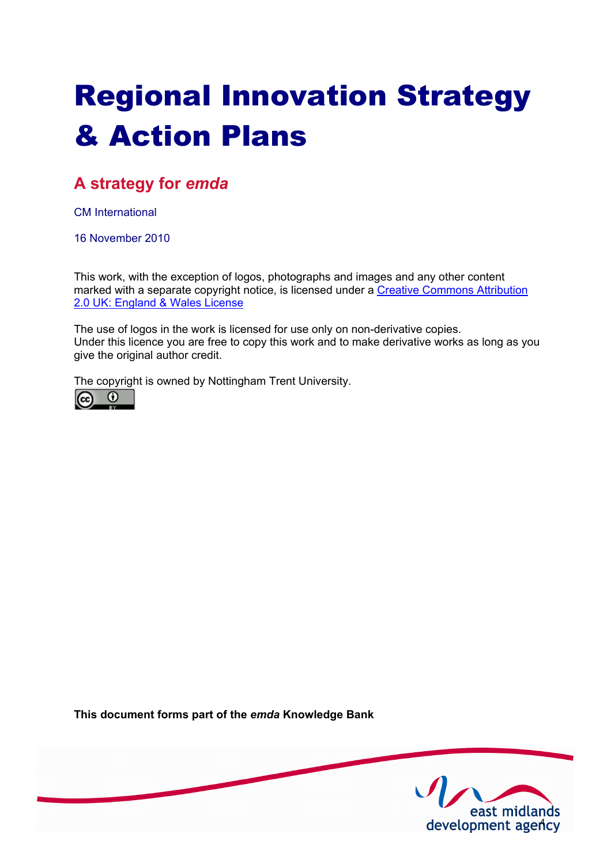# Regional Innovation Strategy & Action Plans

# **A strategy for** *emda*

CM International

16 November 2010

This work, with the exception of logos, photographs and images and any other content [marked with a separate copyright notice, is licensed under a Creative Commons Attribution](http://creativecommons.org/licenses/by/2.0/uk) 2.0 UK: England & Wales License

The use of logos in the work is licensed for use only on non-derivative copies. Under this licence you are free to copy this work and to make derivative works as long as you give the original author credit.

The copyright is owned by Nottingham Trent University.



**This document forms part of the** *emda* **Knowledge Bank** 

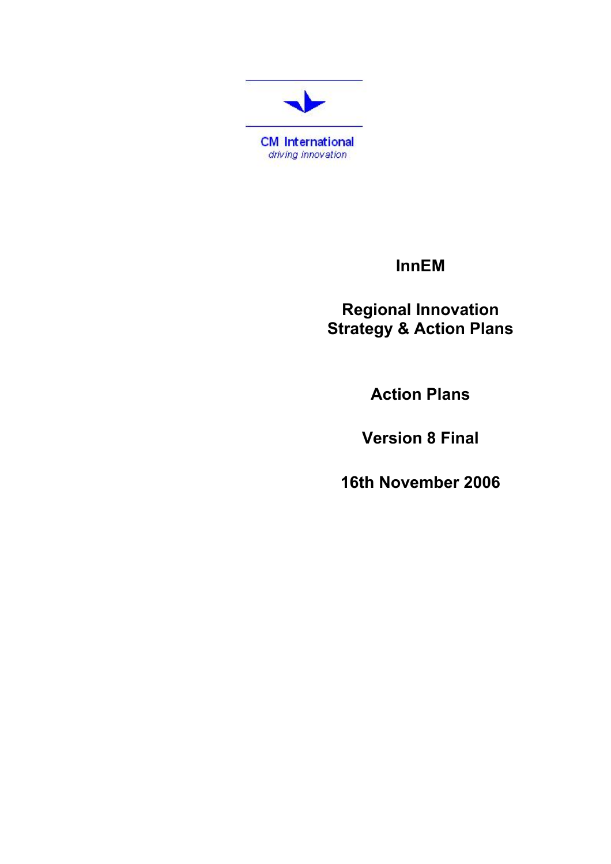

# **InnEM**

**Regional Innovation Strategy & Action Plans** 

**Action Plans** 

**Version 8 Final** 

**16th November 2006**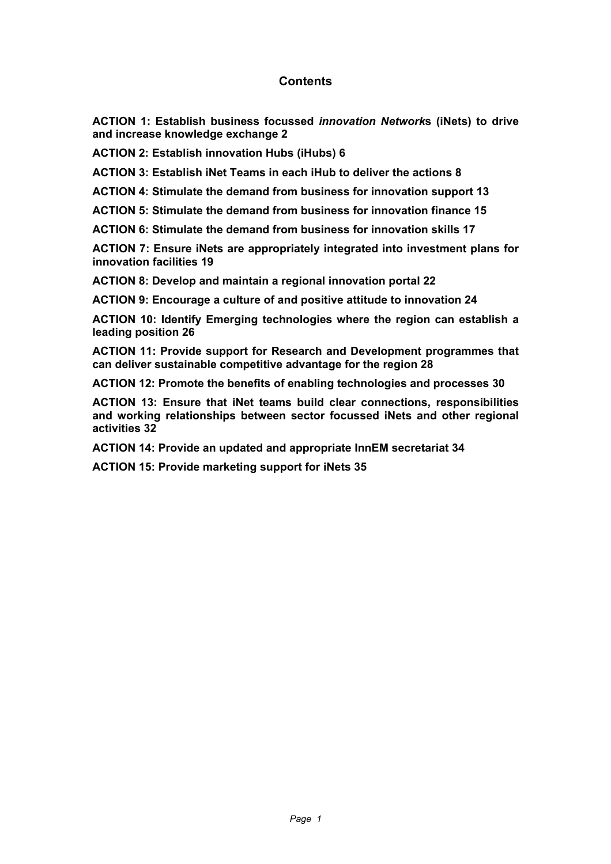## **Contents**

**ACTION 1: Establish business focussed** *innovation Network***s (iNets) to drive and increase knowledge exchange 2**

**ACTION 2: Establish innovation Hubs (iHubs) 6**

**ACTION 3: Establish iNet Teams in each iHub to deliver the actions 8**

**ACTION 4: Stimulate the demand from business for innovation support 13**

**ACTION 5: Stimulate the demand from business for innovation finance 15**

**ACTION 6: Stimulate the demand from business for innovation skills 17**

**ACTION 7: Ensure iNets are appropriately integrated into investment plans for innovation facilities 19**

**ACTION 8: Develop and maintain a regional innovation portal 22**

**ACTION 9: Encourage a culture of and positive attitude to innovation 24**

**ACTION 10: Identify Emerging technologies where the region can establish a leading position 26**

**ACTION 11: Provide support for Research and Development programmes that can deliver sustainable competitive advantage for the region 28**

**ACTION 12: Promote the benefits of enabling technologies and processes 30**

**ACTION 13: Ensure that iNet teams build clear connections, responsibilities and working relationships between sector focussed iNets and other regional activities 32**

**ACTION 14: Provide an updated and appropriate InnEM secretariat 34**

**ACTION 15: Provide marketing support for iNets 35**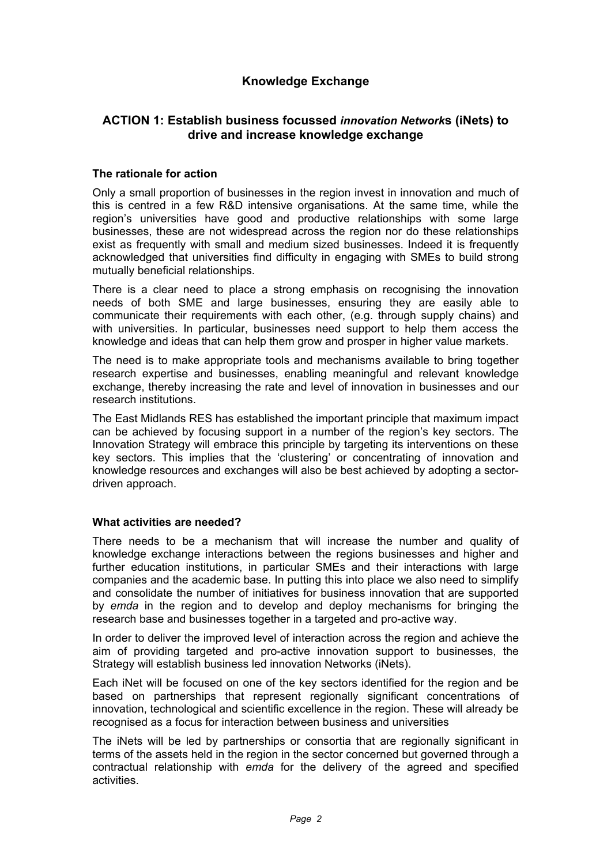## **Knowledge Exchange**

## **ACTION 1: Establish business focussed** *innovation Network***s (iNets) to drive and increase knowledge exchange**

#### **The rationale for action**

Only a small proportion of businesses in the region invest in innovation and much of this is centred in a few R&D intensive organisations. At the same time, while the region's universities have good and productive relationships with some large businesses, these are not widespread across the region nor do these relationships exist as frequently with small and medium sized businesses. Indeed it is frequently acknowledged that universities find difficulty in engaging with SMEs to build strong mutually beneficial relationships.

There is a clear need to place a strong emphasis on recognising the innovation needs of both SME and large businesses, ensuring they are easily able to communicate their requirements with each other, (e.g. through supply chains) and with universities. In particular, businesses need support to help them access the knowledge and ideas that can help them grow and prosper in higher value markets.

The need is to make appropriate tools and mechanisms available to bring together research expertise and businesses, enabling meaningful and relevant knowledge exchange, thereby increasing the rate and level of innovation in businesses and our research institutions.

The East Midlands RES has established the important principle that maximum impact can be achieved by focusing support in a number of the region's key sectors. The Innovation Strategy will embrace this principle by targeting its interventions on these key sectors. This implies that the 'clustering' or concentrating of innovation and knowledge resources and exchanges will also be best achieved by adopting a sectordriven approach.

#### **What activities are needed?**

There needs to be a mechanism that will increase the number and quality of knowledge exchange interactions between the regions businesses and higher and further education institutions, in particular SMEs and their interactions with large companies and the academic base. In putting this into place we also need to simplify and consolidate the number of initiatives for business innovation that are supported by *emda* in the region and to develop and deploy mechanisms for bringing the research base and businesses together in a targeted and pro-active way.

In order to deliver the improved level of interaction across the region and achieve the aim of providing targeted and pro-active innovation support to businesses, the Strategy will establish business led innovation Networks (iNets).

Each iNet will be focused on one of the key sectors identified for the region and be based on partnerships that represent regionally significant concentrations of innovation, technological and scientific excellence in the region. These will already be recognised as a focus for interaction between business and universities

The iNets will be led by partnerships or consortia that are regionally significant in terms of the assets held in the region in the sector concerned but governed through a contractual relationship with *emda* for the delivery of the agreed and specified activities.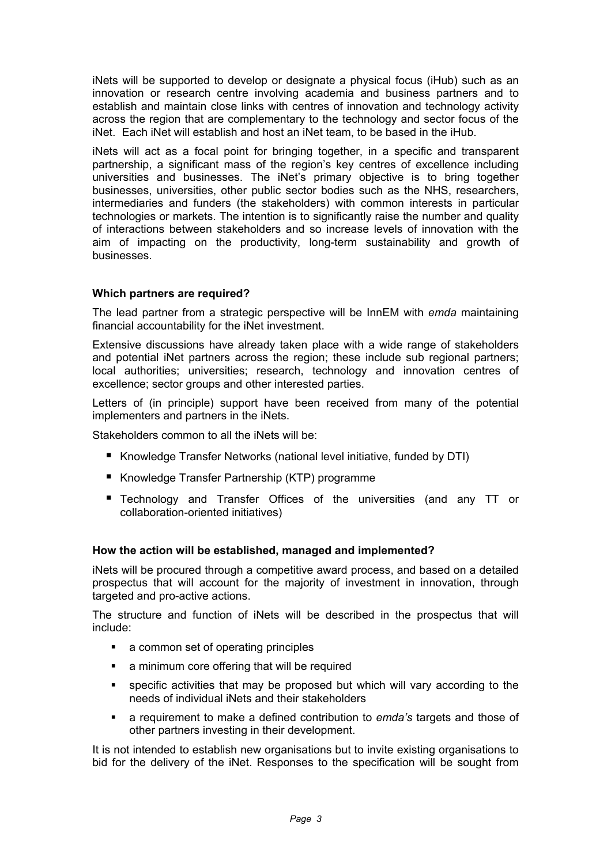iNets will be supported to develop or designate a physical focus (iHub) such as an innovation or research centre involving academia and business partners and to establish and maintain close links with centres of innovation and technology activity across the region that are complementary to the technology and sector focus of the iNet. Each iNet will establish and host an iNet team, to be based in the iHub.

iNets will act as a focal point for bringing together, in a specific and transparent partnership, a significant mass of the region's key centres of excellence including universities and businesses. The iNet's primary objective is to bring together businesses, universities, other public sector bodies such as the NHS, researchers, intermediaries and funders (the stakeholders) with common interests in particular technologies or markets. The intention is to significantly raise the number and quality of interactions between stakeholders and so increase levels of innovation with the aim of impacting on the productivity, long-term sustainability and growth of businesses.

#### **Which partners are required?**

The lead partner from a strategic perspective will be InnEM with *emda* maintaining financial accountability for the iNet investment.

Extensive discussions have already taken place with a wide range of stakeholders and potential iNet partners across the region; these include sub regional partners; local authorities; universities; research, technology and innovation centres of excellence; sector groups and other interested parties.

Letters of (in principle) support have been received from many of the potential implementers and partners in the iNets.

Stakeholders common to all the iNets will be:

- Knowledge Transfer Networks (national level initiative, funded by DTI)
- Knowledge Transfer Partnership (KTP) programme
- **Technology and Transfer Offices of the universities (and any TT or** collaboration-oriented initiatives)

#### **How the action will be established, managed and implemented?**

iNets will be procured through a competitive award process, and based on a detailed prospectus that will account for the majority of investment in innovation, through targeted and pro-active actions.

The structure and function of iNets will be described in the prospectus that will include:

- a common set of operating principles
- **EXECUTE:** a minimum core offering that will be required
- specific activities that may be proposed but which will vary according to the needs of individual iNets and their stakeholders
- a requirement to make a defined contribution to *emda's* targets and those of other partners investing in their development.

It is not intended to establish new organisations but to invite existing organisations to bid for the delivery of the iNet. Responses to the specification will be sought from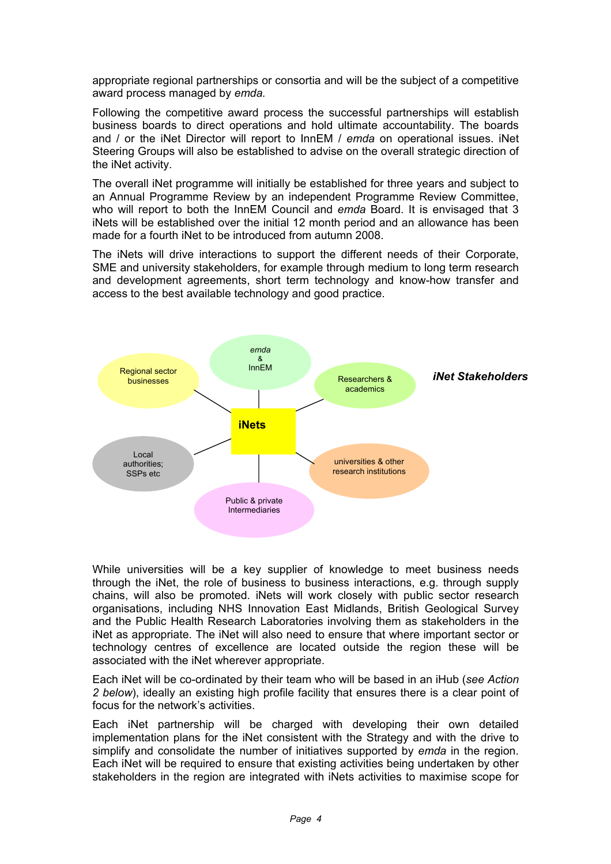appropriate regional partnerships or consortia and will be the subject of a competitive award process managed by *emda.* 

Following the competitive award process the successful partnerships will establish business boards to direct operations and hold ultimate accountability. The boards and / or the iNet Director will report to InnEM / *emda* on operational issues. iNet Steering Groups will also be established to advise on the overall strategic direction of the iNet activity.

The overall iNet programme will initially be established for three years and subject to an Annual Programme Review by an independent Programme Review Committee, who will report to both the InnEM Council and *emda* Board. It is envisaged that 3 iNets will be established over the initial 12 month period and an allowance has been made for a fourth iNet to be introduced from autumn 2008.

The iNets will drive interactions to support the different needs of their Corporate, SME and university stakeholders, for example through medium to long term research and development agreements, short term technology and know-how transfer and access to the best available technology and good practice.



While universities will be a key supplier of knowledge to meet business needs through the iNet, the role of business to business interactions, e.g. through supply chains, will also be promoted. iNets will work closely with public sector research organisations, including NHS Innovation East Midlands, British Geological Survey and the Public Health Research Laboratories involving them as stakeholders in the iNet as appropriate. The iNet will also need to ensure that where important sector or technology centres of excellence are located outside the region these will be associated with the iNet wherever appropriate.

Each iNet will be co-ordinated by their team who will be based in an iHub (*see Action*  2 below), ideally an existing high profile facility that ensures there is a clear point of focus for the network's activities.

Each iNet partnership will be charged with developing their own detailed implementation plans for the iNet consistent with the Strategy and with the drive to simplify and consolidate the number of initiatives supported by *emda* in the region. Each iNet will be required to ensure that existing activities being undertaken by other stakeholders in the region are integrated with iNets activities to maximise scope for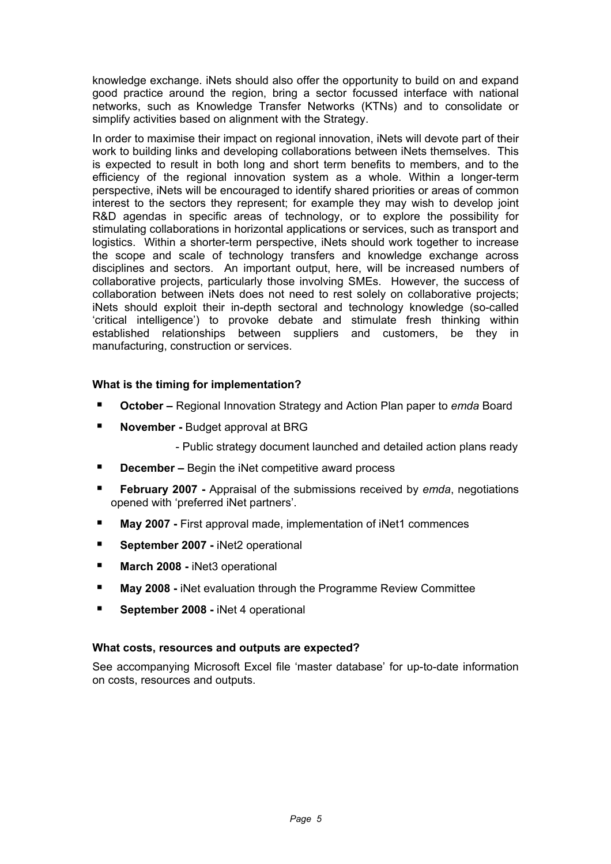knowledge exchange. iNets should also offer the opportunity to build on and expand good practice around the region, bring a sector focussed interface with national networks, such as Knowledge Transfer Networks (KTNs) and to consolidate or simplify activities based on alignment with the Strategy.

In order to maximise their impact on regional innovation, iNets will devote part of their work to building links and developing collaborations between iNets themselves. This is expected to result in both long and short term benefits to members, and to the efficiency of the regional innovation system as a whole. Within a longer-term perspective, iNets will be encouraged to identify shared priorities or areas of common interest to the sectors they represent; for example they may wish to develop joint R&D agendas in specific areas of technology, or to explore the possibility for stimulating collaborations in horizontal applications or services, such as transport and logistics. Within a shorter-term perspective, iNets should work together to increase the scope and scale of technology transfers and knowledge exchange across disciplines and sectors. An important output, here, will be increased numbers of collaborative projects, particularly those involving SMEs. However, the success of collaboration between iNets does not need to rest solely on collaborative projects; iNets should exploit their in-depth sectoral and technology knowledge (so-called 'critical intelligence') to provoke debate and stimulate fresh thinking within established relationships between suppliers and customers, be they in manufacturing, construction or services.

## **What is the timing for implementation?**

- **October** Regional Innovation Strategy and Action Plan paper to *emda* Board
- **November Budget approval at BRG** 
	- Public strategy document launched and detailed action plans ready
- **December –** Begin the iNet competitive award process
- **February 2007** Appraisal of the submissions received by *emda*, negotiations opened with 'preferred iNet partners'.
- **May 2007** First approval made, implementation of iNet1 commences
- **September 2007 iNet2 operational**
- **March 2008 iNet3 operational**
- **May 2008 -** iNet evaluation through the Programme Review Committee
- **September 2008 iNet 4 operational**

#### **What costs, resources and outputs are expected?**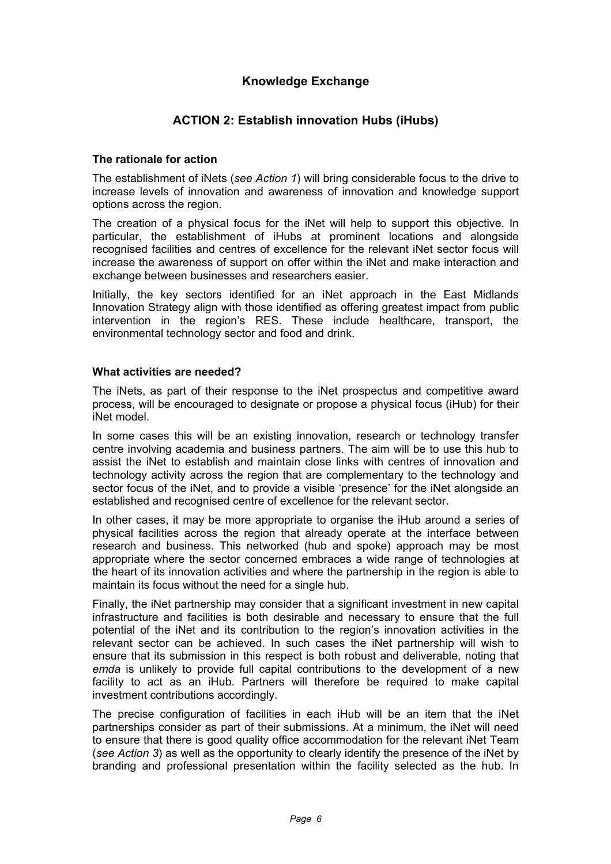## **Knowledge Exchange**

## **ACTION 2: Establish innovation Hubs (iHubs)**

#### **The rationale for action**

The establishment of iNets (*see Action 1*) will bring considerable focus to the drive to increase levels of innovation and awareness of innovation and knowledge support options across the region.

The creation of a physical focus for the iNet will help to support this objective. In particular, the establishment of iHubs at prominent locations and alongside recognised facilities and centres of excellence for the relevant iNet sector focus will increase the awareness of support on offer within the iNet and make interaction and exchange between businesses and researchers easier.

Initially, the key sectors identified for an iNet approach in the East Midlands Innovation Strategy align with those identified as offering greatest impact from public intervention in the region's RES. These include healthcare, transport, the environmental technology sector and food and drink.

#### **What activities are needed?**

The iNets, as part of their response to the iNet prospectus and competitive award process, will be encouraged to designate or propose a physical focus (iHub) for their iNet model.

In some cases this will be an existing innovation, research or technology transfer centre involving academia and business partners. The aim will be to use this hub to assist the iNet to establish and maintain close links with centres of innovation and technology activity across the region that are complementary to the technology and sector focus of the iNet, and to provide a visible 'presence' for the iNet alongside an established and recognised centre of excellence for the relevant sector.

In other cases, it may be more appropriate to organise the iHub around a series of physical facilities across the region that already operate at the interface between research and business. This networked (hub and spoke) approach may be most appropriate where the sector concerned embraces a wide range of technologies at the heart of its innovation activities and where the partnership in the region is able to maintain its focus without the need for a single hub.

Finally, the iNet partnership may consider that a significant investment in new capital infrastructure and facilities is both desirable and necessary to ensure that the full potential of the iNet and its contribution to the region's innovation activities in the relevant sector can be achieved. In such cases the iNet partnership will wish to ensure that its submission in this respect is both robust and deliverable, noting that *emda* is unlikely to provide full capital contributions to the development of a new facility to act as an iHub. Partners will therefore be required to make capital investment contributions accordingly.

The precise configuration of facilities in each iHub will be an item that the iNet partnerships consider as part of their submissions. At a minimum, the iNet will need to ensure that there is good quality office accommodation for the relevant iNet Team (*see Action 3*) as well as the opportunity to clearly identify the presence of the iNet by branding and professional presentation within the facility selected as the hub. In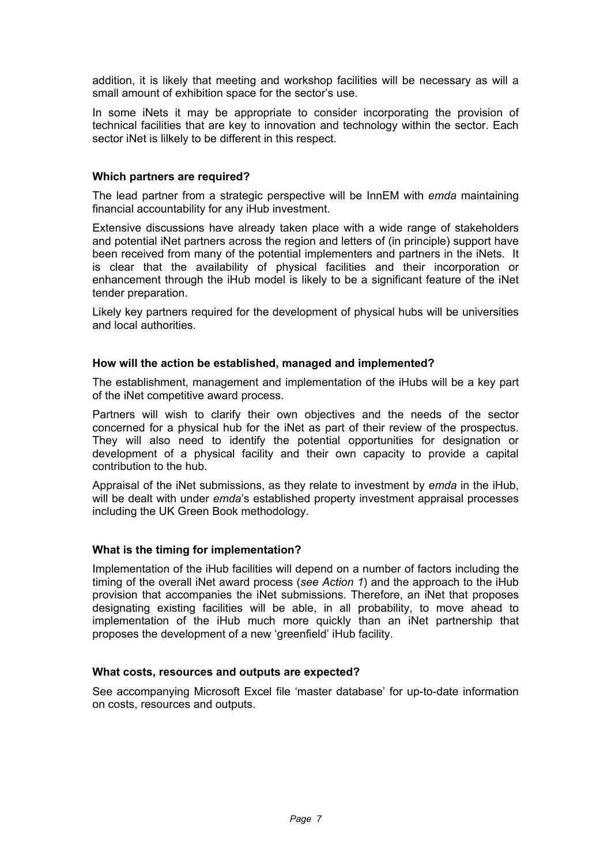addition, it is likely that meeting and workshop facilities will be necessary as will a small amount of exhibition space for the sector's use.

In some iNets it may be appropriate to consider incorporating the provision of technical facilities that are key to innovation and technology within the sector. Each sector iNet is lilkely to be different in this respect.

#### **Which partners are required?**

The lead partner from a strategic perspective will be InnEM with *emda* maintaining financial accountability for any iHub investment.

Extensive discussions have already taken place with a wide range of stakeholders and potential iNet partners across the region and letters of (in principle) support have been received from many of the potential implementers and partners in the iNets. It is clear that the availability of physical facilities and their incorporation or enhancement through the iHub model is likely to be a significant feature of the iNet tender preparation.

Likely key partners required for the development of physical hubs will be universities and local authorities.

#### **How will the action be established, managed and implemented?**

The establishment, management and implementation of the iHubs will be a key part of the iNet competitive award process.

Partners will wish to clarify their own objectives and the needs of the sector concerned for a physical hub for the iNet as part of their review of the prospectus. They will also need to identify the potential opportunities for designation or development of a physical facility and their own capacity to provide a capital contribution to the hub.

Appraisal of the iNet submissions, as they relate to investment by *emda* in the iHub, will be dealt with under *emda*'s established property investment appraisal processes including the UK Green Book methodology.

#### **What is the timing for implementation?**

Implementation of the iHub facilities will depend on a number of factors including the timing of the overall iNet award process (*see Action 1*) and the approach to the iHub provision that accompanies the iNet submissions. Therefore, an iNet that proposes designating existing facilities will be able, in all probability, to move ahead to implementation of the iHub much more quickly than an iNet partnership that proposes the development of a new 'greenfield' iHub facility.

#### **What costs, resources and outputs are expected?**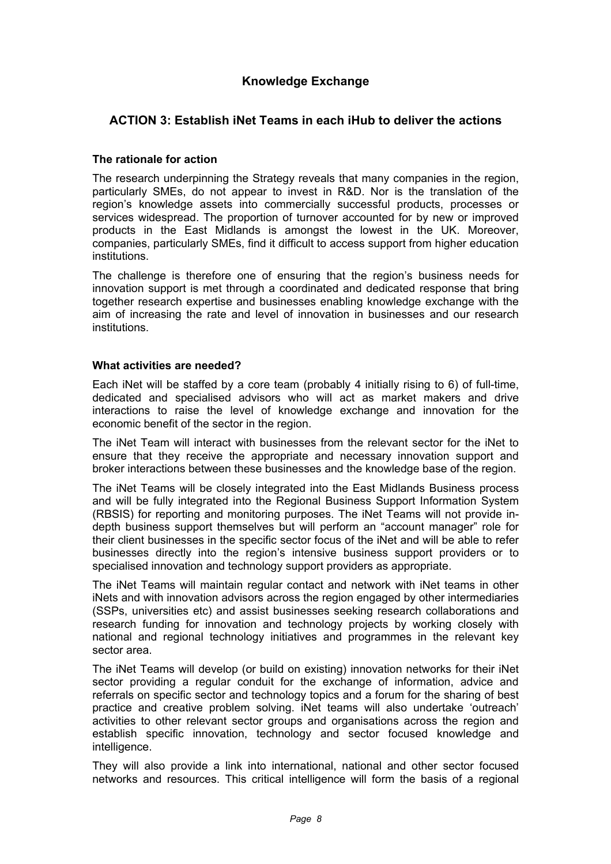## **Knowledge Exchange**

## **ACTION 3: Establish iNet Teams in each iHub to deliver the actions**

#### **The rationale for action**

The research underpinning the Strategy reveals that many companies in the region, particularly SMEs, do not appear to invest in R&D. Nor is the translation of the region's knowledge assets into commercially successful products, processes or services widespread. The proportion of turnover accounted for by new or improved products in the East Midlands is amongst the lowest in the UK. Moreover, companies, particularly SMEs, find it difficult to access support from higher education institutions.

The challenge is therefore one of ensuring that the region's business needs for innovation support is met through a coordinated and dedicated response that bring together research expertise and businesses enabling knowledge exchange with the aim of increasing the rate and level of innovation in businesses and our research institutions.

#### **What activities are needed?**

Each iNet will be staffed by a core team (probably 4 initially rising to 6) of full-time, dedicated and specialised advisors who will act as market makers and drive interactions to raise the level of knowledge exchange and innovation for the economic benefit of the sector in the region.

The iNet Team will interact with businesses from the relevant sector for the iNet to ensure that they receive the appropriate and necessary innovation support and broker interactions between these businesses and the knowledge base of the region.

The iNet Teams will be closely integrated into the East Midlands Business process and will be fully integrated into the Regional Business Support Information System (RBSIS) for reporting and monitoring purposes. The iNet Teams will not provide indepth business support themselves but will perform an "account manager" role for their client businesses in the specific sector focus of the iNet and will be able to refer businesses directly into the region's intensive business support providers or to specialised innovation and technology support providers as appropriate.

The iNet Teams will maintain regular contact and network with iNet teams in other iNets and with innovation advisors across the region engaged by other intermediaries (SSPs, universities etc) and assist businesses seeking research collaborations and research funding for innovation and technology projects by working closely with national and regional technology initiatives and programmes in the relevant key sector area.

The iNet Teams will develop (or build on existing) innovation networks for their iNet sector providing a regular conduit for the exchange of information, advice and referrals on specific sector and technology topics and a forum for the sharing of best practice and creative problem solving. iNet teams will also undertake 'outreach' activities to other relevant sector groups and organisations across the region and establish specific innovation, technology and sector focused knowledge and intelligence.

They will also provide a link into international, national and other sector focused networks and resources. This critical intelligence will form the basis of a regional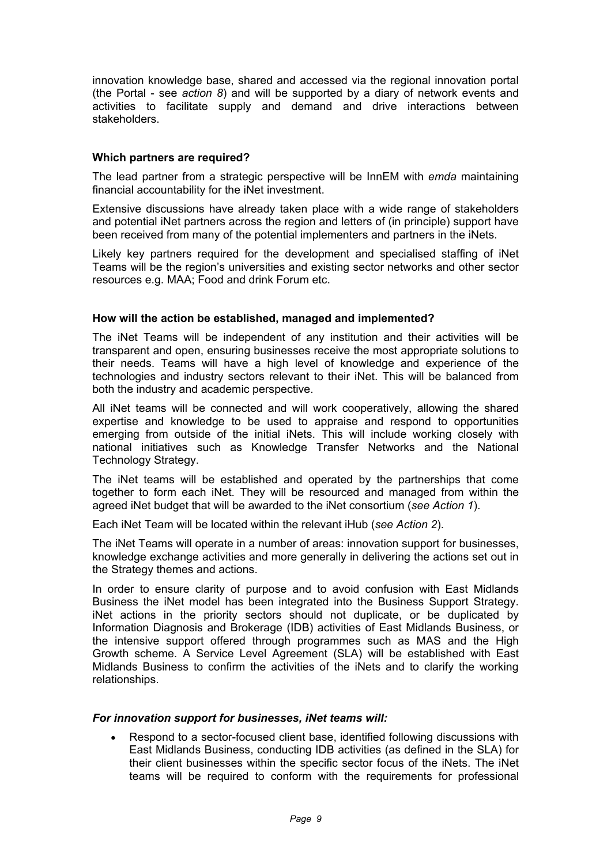innovation knowledge base, shared and accessed via the regional innovation portal (the Portal - see *action 8*) and will be supported by a diary of network events and activities to facilitate supply and demand and drive interactions between stakeholders.

#### **Which partners are required?**

The lead partner from a strategic perspective will be InnEM with *emda* maintaining financial accountability for the iNet investment.

Extensive discussions have already taken place with a wide range of stakeholders and potential iNet partners across the region and letters of (in principle) support have been received from many of the potential implementers and partners in the iNets.

Likely key partners required for the development and specialised staffing of iNet Teams will be the region's universities and existing sector networks and other sector resources e.g. MAA; Food and drink Forum etc.

#### **How will the action be established, managed and implemented?**

The iNet Teams will be independent of any institution and their activities will be transparent and open, ensuring businesses receive the most appropriate solutions to their needs. Teams will have a high level of knowledge and experience of the technologies and industry sectors relevant to their iNet. This will be balanced from both the industry and academic perspective.

All iNet teams will be connected and will work cooperatively, allowing the shared expertise and knowledge to be used to appraise and respond to opportunities emerging from outside of the initial iNets. This will include working closely with national initiatives such as Knowledge Transfer Networks and the National Technology Strategy.

The iNet teams will be established and operated by the partnerships that come together to form each iNet. They will be resourced and managed from within the agreed iNet budget that will be awarded to the iNet consortium (*see Action 1*).

Each iNet Team will be located within the relevant iHub (*see Action 2*).

The iNet Teams will operate in a number of areas: innovation support for businesses, knowledge exchange activities and more generally in delivering the actions set out in the Strategy themes and actions.

In order to ensure clarity of purpose and to avoid confusion with East Midlands Business the iNet model has been integrated into the Business Support Strategy. iNet actions in the priority sectors should not duplicate, or be duplicated by Information Diagnosis and Brokerage (IDB) activities of East Midlands Business, or the intensive support offered through programmes such as MAS and the High Growth scheme. A Service Level Agreement (SLA) will be established with East Midlands Business to confirm the activities of the iNets and to clarify the working relationships.

#### *For innovation support for businesses, iNet teams will:*

• Respond to a sector-focused client base, identified following discussions with East Midlands Business, conducting IDB activities (as defined in the SLA) for their client businesses within the specific sector focus of the iNets. The iNet teams will be required to conform with the requirements for professional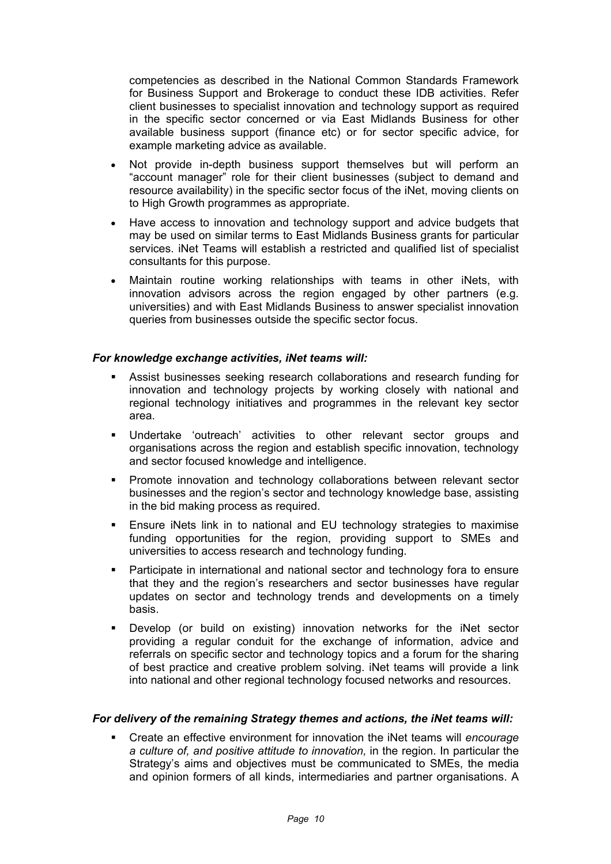competencies as described in the National Common Standards Framework for Business Support and Brokerage to conduct these IDB activities. Refer client businesses to specialist innovation and technology support as required in the specific sector concerned or via East Midlands Business for other available business support (finance etc) or for sector specific advice, for example marketing advice as available.

- Not provide in-depth business support themselves but will perform an "account manager" role for their client businesses (subject to demand and resource availability) in the specific sector focus of the iNet, moving clients on to High Growth programmes as appropriate.
- Have access to innovation and technology support and advice budgets that may be used on similar terms to East Midlands Business grants for particular services. iNet Teams will establish a restricted and qualified list of specialist consultants for this purpose.
- Maintain routine working relationships with teams in other iNets, with innovation advisors across the region engaged by other partners (e.g. universities) and with East Midlands Business to answer specialist innovation queries from businesses outside the specific sector focus.

#### *For knowledge exchange activities, iNet teams will:*

- Assist businesses seeking research collaborations and research funding for innovation and technology projects by working closely with national and regional technology initiatives and programmes in the relevant key sector area.
- Undertake 'outreach' activities to other relevant sector groups and organisations across the region and establish specific innovation, technology and sector focused knowledge and intelligence.
- Promote innovation and technology collaborations between relevant sector businesses and the region's sector and technology knowledge base, assisting in the bid making process as required.
- Ensure iNets link in to national and EU technology strategies to maximise funding opportunities for the region, providing support to SMEs and universities to access research and technology funding.
- Participate in international and national sector and technology fora to ensure that they and the region's researchers and sector businesses have regular updates on sector and technology trends and developments on a timely basis.
- Develop (or build on existing) innovation networks for the iNet sector providing a regular conduit for the exchange of information, advice and referrals on specific sector and technology topics and a forum for the sharing of best practice and creative problem solving. iNet teams will provide a link into national and other regional technology focused networks and resources.

#### *For delivery of the remaining Strategy themes and actions, the iNet teams will:*

 Create an effective environment for innovation the iNet teams will *encourage a culture of, and positive attitude to innovation,* in the region. In particular the Strategy's aims and objectives must be communicated to SMEs, the media and opinion formers of all kinds, intermediaries and partner organisations. A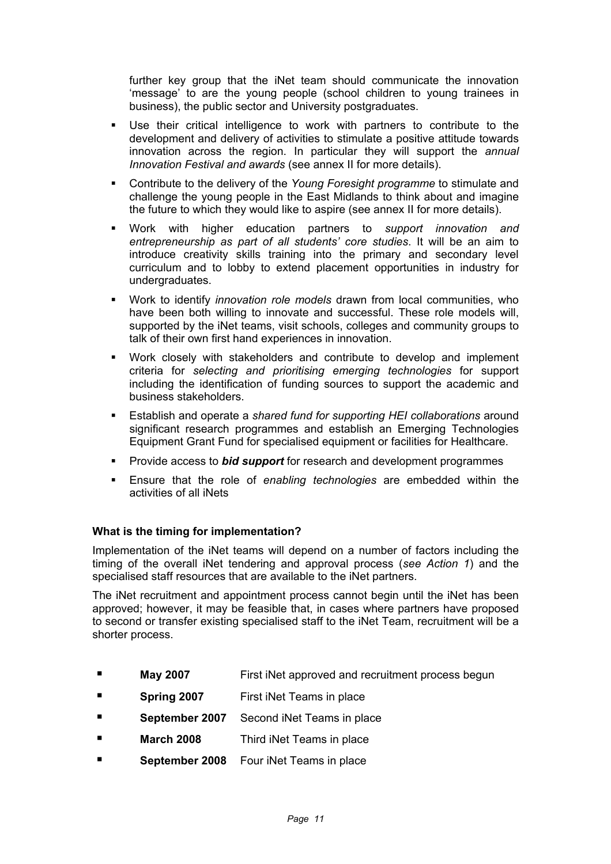further key group that the iNet team should communicate the innovation 'message' to are the young people (school children to young trainees in business), the public sector and University postgraduates.

- Use their critical intelligence to work with partners to contribute to the development and delivery of activities to stimulate a positive attitude towards innovation across the region. In particular they will support the *annual Innovation Festival and awards* (see annex II for more details).
- Contribute to the delivery of the *Young Foresight programme* to stimulate and challenge the young people in the East Midlands to think about and imagine the future to which they would like to aspire (see annex II for more details).
- Work with higher education partners to *support innovation and entrepreneurship as part of all students' core studies*. It will be an aim to introduce creativity skills training into the primary and secondary level curriculum and to lobby to extend placement opportunities in industry for undergraduates.
- Work to identify *innovation role models* drawn from local communities, who have been both willing to innovate and successful. These role models will, supported by the iNet teams, visit schools, colleges and community groups to talk of their own first hand experiences in innovation.
- Work closely with stakeholders and contribute to develop and implement criteria for *selecting and prioritising emerging technologies* for support including the identification of funding sources to support the academic and business stakeholders.
- Establish and operate a *shared fund for supporting HEI collaborations* around significant research programmes and establish an Emerging Technologies Equipment Grant Fund for specialised equipment or facilities for Healthcare.
- Provide access to *bid support* for research and development programmes
- Ensure that the role of *enabling technologies* are embedded within the activities of all iNets

#### **What is the timing for implementation?**

Implementation of the iNet teams will depend on a number of factors including the timing of the overall iNet tendering and approval process (*see Action 1*) and the specialised staff resources that are available to the iNet partners.

The iNet recruitment and appointment process cannot begin until the iNet has been approved; however, it may be feasible that, in cases where partners have proposed to second or transfer existing specialised staff to the iNet Team, recruitment will be a shorter process.

- **May 2007 First iNet approved and recruitment process begun**
- **Spring 2007** First iNet Teams in place
- **September 2007** Second iNet Teams in place
- **March 2008** Third iNet Teams in place
- **September 2008** Four iNet Teams in place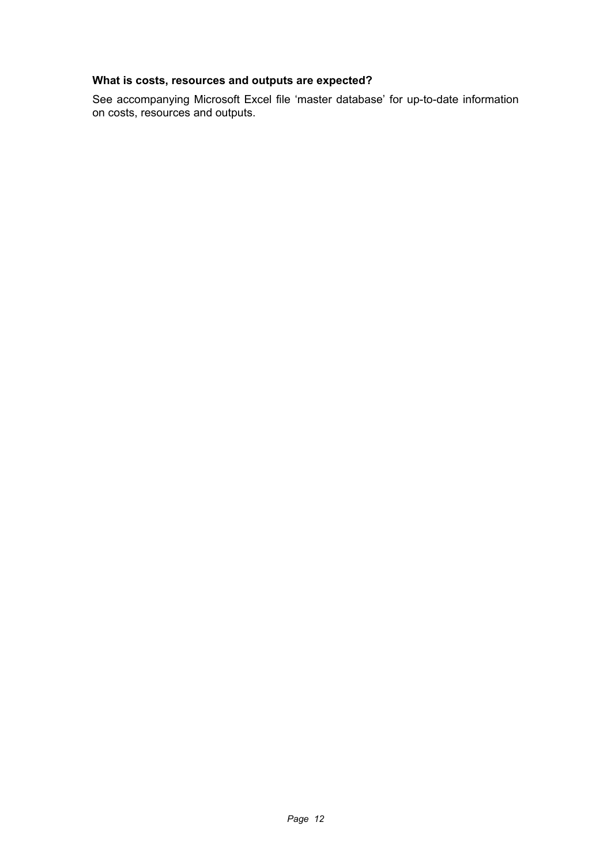## **What is costs, resources and outputs are expected?**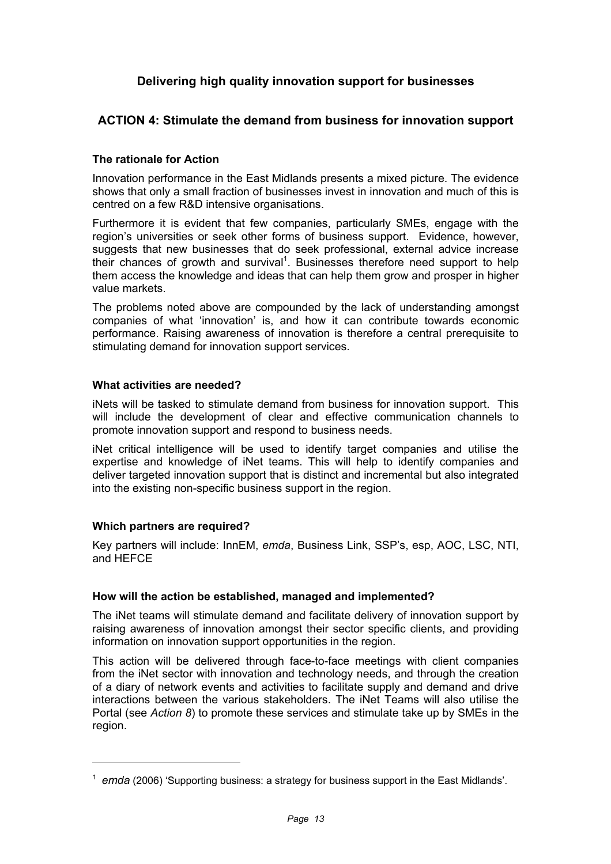## **Delivering high quality innovation support for businesses**

## **ACTION 4: Stimulate the demand from business for innovation support**

#### **The rationale for Action**

Innovation performance in the East Midlands presents a mixed picture. The evidence shows that only a small fraction of businesses invest in innovation and much of this is centred on a few R&D intensive organisations.

Furthermore it is evident that few companies, particularly SMEs, engage with the region's universities or seek other forms of business support. Evidence, however, suggests that new businesses that do seek professional, external advice increase their chances of growth and survival<sup>1</sup>. Businesses therefore need support to help them access the knowledge and ideas that can help them grow and prosper in higher value markets.

The problems noted above are compounded by the lack of understanding amongst companies of what 'innovation' is, and how it can contribute towards economic performance. Raising awareness of innovation is therefore a central prerequisite to stimulating demand for innovation support services.

#### **What activities are needed?**

iNets will be tasked to stimulate demand from business for innovation support. This will include the development of clear and effective communication channels to promote innovation support and respond to business needs.

iNet critical intelligence will be used to identify target companies and utilise the expertise and knowledge of iNet teams. This will help to identify companies and deliver targeted innovation support that is distinct and incremental but also integrated into the existing non-specific business support in the region.

#### **Which partners are required?**

Key partners will include: InnEM, *emda*, Business Link, SSP's, esp, AOC, LSC, NTI, and HEFCE

#### **How will the action be established, managed and implemented?**

The iNet teams will stimulate demand and facilitate delivery of innovation support by raising awareness of innovation amongst their sector specific clients, and providing information on innovation support opportunities in the region.

This action will be delivered through face-to-face meetings with client companies from the iNet sector with innovation and technology needs, and through the creation of a diary of network events and activities to facilitate supply and demand and drive interactions between the various stakeholders. The iNet Teams will also utilise the Portal (see *Action 8*) to promote these services and stimulate take up by SMEs in the region.

<sup>&</sup>lt;sup>1</sup> emda (2006) 'Supporting business: a strategy for business support in the East Midlands'.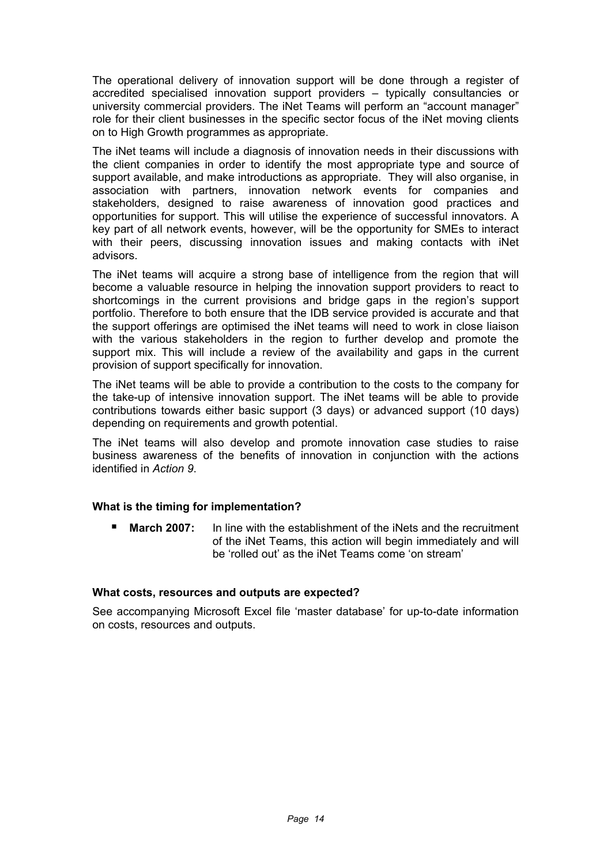The operational delivery of innovation support will be done through a register of accredited specialised innovation support providers – typically consultancies or university commercial providers. The iNet Teams will perform an "account manager" role for their client businesses in the specific sector focus of the iNet moving clients on to High Growth programmes as appropriate.

The iNet teams will include a diagnosis of innovation needs in their discussions with the client companies in order to identify the most appropriate type and source of support available, and make introductions as appropriate. They will also organise, in association with partners, innovation network events for companies and stakeholders, designed to raise awareness of innovation good practices and opportunities for support. This will utilise the experience of successful innovators. A key part of all network events, however, will be the opportunity for SMEs to interact with their peers, discussing innovation issues and making contacts with iNet advisors.

The iNet teams will acquire a strong base of intelligence from the region that will become a valuable resource in helping the innovation support providers to react to shortcomings in the current provisions and bridge gaps in the region's support portfolio. Therefore to both ensure that the IDB service provided is accurate and that the support offerings are optimised the iNet teams will need to work in close liaison with the various stakeholders in the region to further develop and promote the support mix. This will include a review of the availability and gaps in the current provision of support specifically for innovation.

The iNet teams will be able to provide a contribution to the costs to the company for the take-up of intensive innovation support. The iNet teams will be able to provide contributions towards either basic support (3 days) or advanced support (10 days) depending on requirements and growth potential.

The iNet teams will also develop and promote innovation case studies to raise business awareness of the benefits of innovation in conjunction with the actions identified in *Action 9*.

#### **What is the timing for implementation?**

**March 2007:** In line with the establishment of the iNets and the recruitment of the iNet Teams, this action will begin immediately and will be 'rolled out' as the iNet Teams come 'on stream'

#### **What costs, resources and outputs are expected?**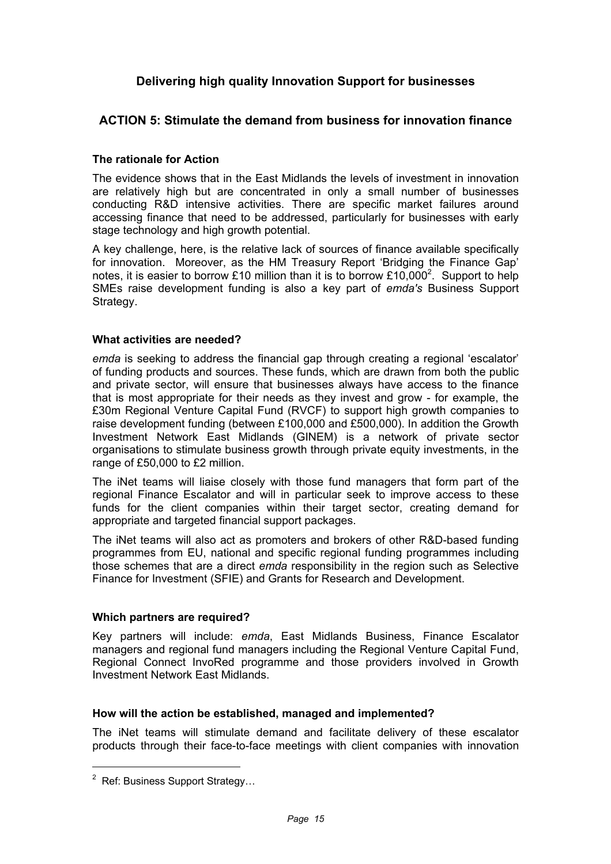## **Delivering high quality Innovation Support for businesses**

## **ACTION 5: Stimulate the demand from business for innovation finance**

#### **The rationale for Action**

The evidence shows that in the East Midlands the levels of investment in innovation are relatively high but are concentrated in only a small number of businesses conducting R&D intensive activities. There are specific market failures around accessing finance that need to be addressed, particularly for businesses with early stage technology and high growth potential.

A key challenge, here, is the relative lack of sources of finance available specifically for innovation. Moreover, as the HM Treasury Report 'Bridging the Finance Gap' notes, it is easier to borrow £10 million than it is to borrow £10,000<sup>2</sup>. Support to help SMEs raise development funding is also a key part of *emda's* Business Support Strategy.

#### **What activities are needed?**

*emda* is seeking to address the financial gap through creating a regional 'escalator' of funding products and sources. These funds, which are drawn from both the public and private sector, will ensure that businesses always have access to the finance that is most appropriate for their needs as they invest and grow - for example, the £30m Regional Venture Capital Fund (RVCF) to support high growth companies to raise development funding (between £100,000 and £500,000). In addition the Growth Investment Network East Midlands (GINEM) is a network of private sector organisations to stimulate business growth through private equity investments, in the range of £50,000 to £2 million.

The iNet teams will liaise closely with those fund managers that form part of the regional Finance Escalator and will in particular seek to improve access to these funds for the client companies within their target sector, creating demand for appropriate and targeted financial support packages.

The iNet teams will also act as promoters and brokers of other R&D-based funding programmes from EU, national and specific regional funding programmes including those schemes that are a direct *emda* responsibility in the region such as Selective Finance for Investment (SFIE) and Grants for Research and Development.

#### **Which partners are required?**

Key partners will include: *emda*, East Midlands Business, Finance Escalator managers and regional fund managers including the Regional Venture Capital Fund, Regional Connect InvoRed programme and those providers involved in Growth Investment Network East Midlands.

#### **How will the action be established, managed and implemented?**

The iNet teams will stimulate demand and facilitate delivery of these escalator products through their face-to-face meetings with client companies with innovation

 $2$  Ref: Business Support Strategy...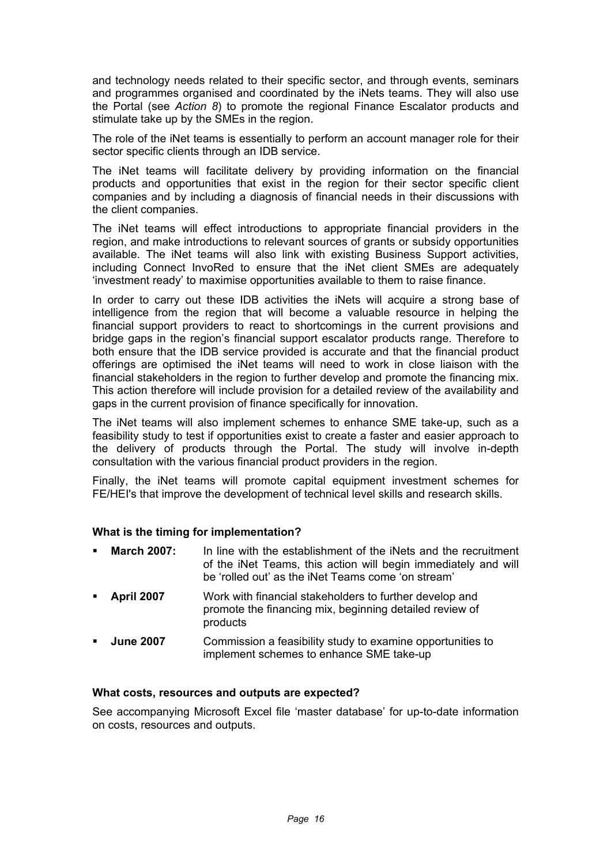and technology needs related to their specific sector, and through events, seminars and programmes organised and coordinated by the iNets teams. They will also use the Portal (see *Action 8*) to promote the regional Finance Escalator products and stimulate take up by the SMEs in the region.

The role of the iNet teams is essentially to perform an account manager role for their sector specific clients through an IDB service.

The iNet teams will facilitate delivery by providing information on the financial products and opportunities that exist in the region for their sector specific client companies and by including a diagnosis of financial needs in their discussions with the client companies.

The iNet teams will effect introductions to appropriate financial providers in the region, and make introductions to relevant sources of grants or subsidy opportunities available. The iNet teams will also link with existing Business Support activities, including Connect InvoRed to ensure that the iNet client SMEs are adequately 'investment ready' to maximise opportunities available to them to raise finance.

In order to carry out these IDB activities the iNets will acquire a strong base of intelligence from the region that will become a valuable resource in helping the financial support providers to react to shortcomings in the current provisions and bridge gaps in the region's financial support escalator products range. Therefore to both ensure that the IDB service provided is accurate and that the financial product offerings are optimised the iNet teams will need to work in close liaison with the financial stakeholders in the region to further develop and promote the financing mix. This action therefore will include provision for a detailed review of the availability and gaps in the current provision of finance specifically for innovation.

The iNet teams will also implement schemes to enhance SME take-up, such as a feasibility study to test if opportunities exist to create a faster and easier approach to the delivery of products through the Portal. The study will involve in-depth consultation with the various financial product providers in the region.

Finally, the iNet teams will promote capital equipment investment schemes for FE/HEI's that improve the development of technical level skills and research skills.

#### **What is the timing for implementation?**

| $\mathbf{m}$   | March 2007:       | In line with the establishment of the iNets and the recruitment<br>of the iNet Teams, this action will begin immediately and will<br>be 'rolled out' as the iNet Teams come 'on stream' |
|----------------|-------------------|-----------------------------------------------------------------------------------------------------------------------------------------------------------------------------------------|
| $\blacksquare$ | <b>April 2007</b> | Work with financial stakeholders to further develop and<br>promote the financing mix, beginning detailed review of<br>products                                                          |
| $\mathbf{r}$   | <b>June 2007</b>  | Commission a feasibility study to examine opportunities to<br>implement schemes to enhance SME take-up                                                                                  |

#### **What costs, resources and outputs are expected?**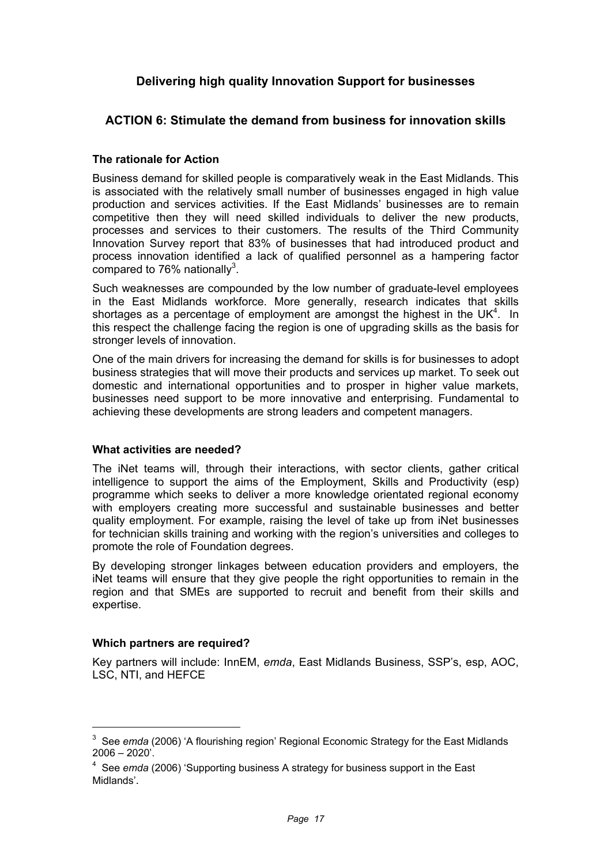## **Delivering high quality Innovation Support for businesses**

## **ACTION 6: Stimulate the demand from business for innovation skills**

#### **The rationale for Action**

Business demand for skilled people is comparatively weak in the East Midlands. This is associated with the relatively small number of businesses engaged in high value production and services activities. If the East Midlands' businesses are to remain competitive then they will need skilled individuals to deliver the new products, processes and services to their customers. The results of the Third Community Innovation Survey report that 83% of businesses that had introduced product and process innovation identified a lack of qualified personnel as a hampering factor compared to 76% nationally<sup>3</sup>.

Such weaknesses are compounded by the low number of graduate-level employees in the East Midlands workforce. More generally, research indicates that skills shortages as a percentage of employment are amongst the highest in the UK<sup>4</sup>. In this respect the challenge facing the region is one of upgrading skills as the basis for stronger levels of innovation.

One of the main drivers for increasing the demand for skills is for businesses to adopt business strategies that will move their products and services up market. To seek out domestic and international opportunities and to prosper in higher value markets, businesses need support to be more innovative and enterprising. Fundamental to achieving these developments are strong leaders and competent managers.

#### **What activities are needed?**

The iNet teams will, through their interactions, with sector clients, gather critical intelligence to support the aims of the Employment, Skills and Productivity (esp) programme which seeks to deliver a more knowledge orientated regional economy with employers creating more successful and sustainable businesses and better quality employment. For example, raising the level of take up from iNet businesses for technician skills training and working with the region's universities and colleges to promote the role of Foundation degrees.

By developing stronger linkages between education providers and employers, the iNet teams will ensure that they give people the right opportunities to remain in the region and that SMEs are supported to recruit and benefit from their skills and expertise.

#### **Which partners are required?**

Key partners will include: InnEM, *emda*, East Midlands Business, SSP's, esp, AOC, LSC, NTI, and HEFCE

<sup>&</sup>lt;sup>3</sup> See *emda* (2006) 'A flourishing region' Regional Economic Strategy for the East Midlands 2006 – 2020'.

<sup>4</sup> See *emda* (2006) 'Supporting business A strategy for business support in the East Midlands'.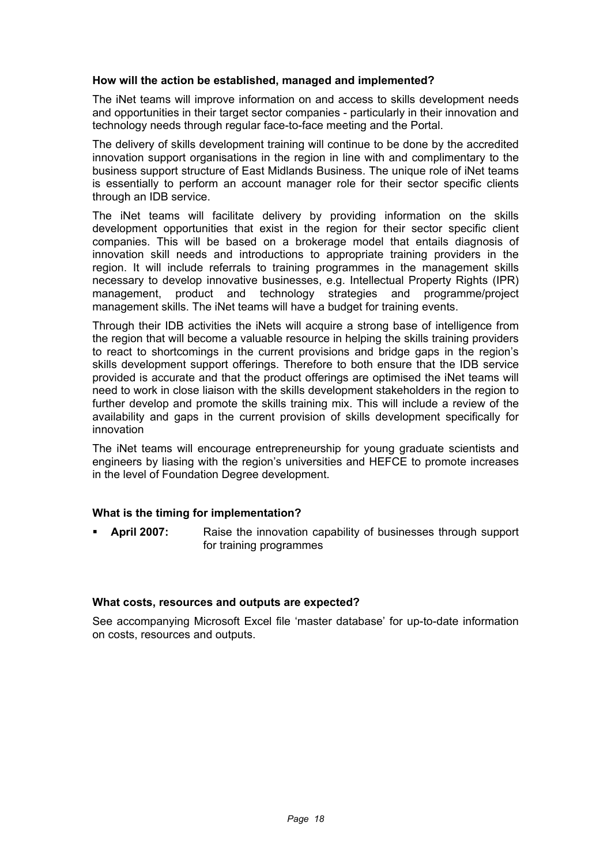#### **How will the action be established, managed and implemented?**

The iNet teams will improve information on and access to skills development needs and opportunities in their target sector companies - particularly in their innovation and technology needs through regular face-to-face meeting and the Portal.

The delivery of skills development training will continue to be done by the accredited innovation support organisations in the region in line with and complimentary to the business support structure of East Midlands Business. The unique role of iNet teams is essentially to perform an account manager role for their sector specific clients through an IDB service.

The iNet teams will facilitate delivery by providing information on the skills development opportunities that exist in the region for their sector specific client companies. This will be based on a brokerage model that entails diagnosis of innovation skill needs and introductions to appropriate training providers in the region. It will include referrals to training programmes in the management skills necessary to develop innovative businesses, e.g. Intellectual Property Rights (IPR) management, product and technology strategies and programme/project management skills. The iNet teams will have a budget for training events.

Through their IDB activities the iNets will acquire a strong base of intelligence from the region that will become a valuable resource in helping the skills training providers to react to shortcomings in the current provisions and bridge gaps in the region's skills development support offerings. Therefore to both ensure that the IDB service provided is accurate and that the product offerings are optimised the iNet teams will need to work in close liaison with the skills development stakeholders in the region to further develop and promote the skills training mix. This will include a review of the availability and gaps in the current provision of skills development specifically for innovation

The iNet teams will encourage entrepreneurship for young graduate scientists and engineers by liasing with the region's universities and HEFCE to promote increases in the level of Foundation Degree development.

#### **What is the timing for implementation?**

 **April 2007:** Raise the innovation capability of businesses through support for training programmes

#### **What costs, resources and outputs are expected?**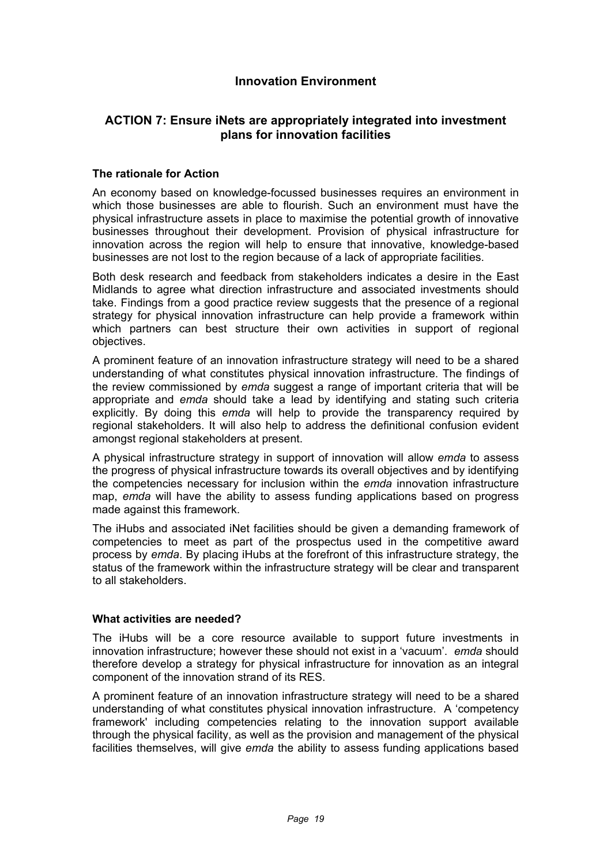## **Innovation Environment**

## **ACTION 7: Ensure iNets are appropriately integrated into investment plans for innovation facilities**

#### **The rationale for Action**

An economy based on knowledge-focussed businesses requires an environment in which those businesses are able to flourish. Such an environment must have the physical infrastructure assets in place to maximise the potential growth of innovative businesses throughout their development. Provision of physical infrastructure for innovation across the region will help to ensure that innovative, knowledge-based businesses are not lost to the region because of a lack of appropriate facilities.

Both desk research and feedback from stakeholders indicates a desire in the East Midlands to agree what direction infrastructure and associated investments should take. Findings from a good practice review suggests that the presence of a regional strategy for physical innovation infrastructure can help provide a framework within which partners can best structure their own activities in support of regional objectives.

A prominent feature of an innovation infrastructure strategy will need to be a shared understanding of what constitutes physical innovation infrastructure. The findings of the review commissioned by *emda* suggest a range of important criteria that will be appropriate and *emda* should take a lead by identifying and stating such criteria explicitly. By doing this *emda* will help to provide the transparency required by regional stakeholders. It will also help to address the definitional confusion evident amongst regional stakeholders at present.

A physical infrastructure strategy in support of innovation will allow *emda* to assess the progress of physical infrastructure towards its overall objectives and by identifying the competencies necessary for inclusion within the *emda* innovation infrastructure map, *emda* will have the ability to assess funding applications based on progress made against this framework.

The iHubs and associated iNet facilities should be given a demanding framework of competencies to meet as part of the prospectus used in the competitive award process by *emda*. By placing iHubs at the forefront of this infrastructure strategy, the status of the framework within the infrastructure strategy will be clear and transparent to all stakeholders.

#### **What activities are needed?**

The iHubs will be a core resource available to support future investments in innovation infrastructure; however these should not exist in a 'vacuum'. *emda* should therefore develop a strategy for physical infrastructure for innovation as an integral component of the innovation strand of its RES.

A prominent feature of an innovation infrastructure strategy will need to be a shared understanding of what constitutes physical innovation infrastructure. A 'competency framework' including competencies relating to the innovation support available through the physical facility, as well as the provision and management of the physical facilities themselves, will give *emda* the ability to assess funding applications based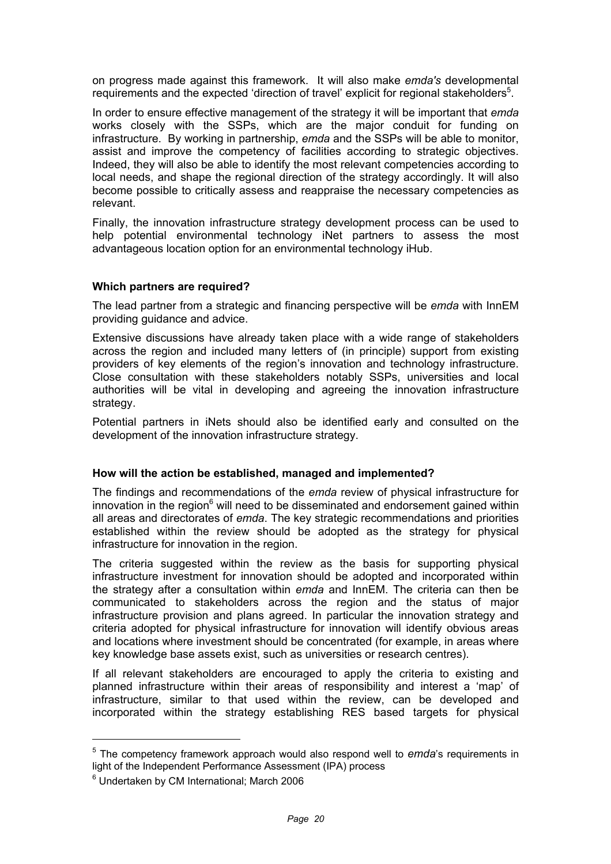on progress made against this framework. It will also make *emda's* developmental requirements and the expected 'direction of travel' explicit for regional stakeholders<sup>5</sup>.

In order to ensure effective management of the strategy it will be important that *emda*  works closely with the SSPs, which are the major conduit for funding on infrastructure. By working in partnership, *emda* and the SSPs will be able to monitor, assist and improve the competency of facilities according to strategic objectives. Indeed, they will also be able to identify the most relevant competencies according to local needs, and shape the regional direction of the strategy accordingly. It will also become possible to critically assess and reappraise the necessary competencies as relevant.

Finally, the innovation infrastructure strategy development process can be used to help potential environmental technology iNet partners to assess the most advantageous location option for an environmental technology iHub.

#### **Which partners are required?**

The lead partner from a strategic and financing perspective will be *emda* with InnEM providing guidance and advice.

Extensive discussions have already taken place with a wide range of stakeholders across the region and included many letters of (in principle) support from existing providers of key elements of the region's innovation and technology infrastructure. Close consultation with these stakeholders notably SSPs, universities and local authorities will be vital in developing and agreeing the innovation infrastructure strategy.

Potential partners in iNets should also be identified early and consulted on the development of the innovation infrastructure strategy.

#### **How will the action be established, managed and implemented?**

The findings and recommendations of the *emda* review of physical infrastructure for innovation in the region $^6$  will need to be disseminated and endorsement gained within all areas and directorates of *emda*. The key strategic recommendations and priorities established within the review should be adopted as the strategy for physical infrastructure for innovation in the region.

The criteria suggested within the review as the basis for supporting physical infrastructure investment for innovation should be adopted and incorporated within the strategy after a consultation within *emda* and InnEM. The criteria can then be communicated to stakeholders across the region and the status of major infrastructure provision and plans agreed. In particular the innovation strategy and criteria adopted for physical infrastructure for innovation will identify obvious areas and locations where investment should be concentrated (for example, in areas where key knowledge base assets exist, such as universities or research centres).

If all relevant stakeholders are encouraged to apply the criteria to existing and planned infrastructure within their areas of responsibility and interest a 'map' of infrastructure, similar to that used within the review, can be developed and incorporated within the strategy establishing RES based targets for physical

<sup>5</sup> The competency framework approach would also respond well to *emda*'s requirements in light of the Independent Performance Assessment (IPA) process

<sup>6</sup> Undertaken by CM International; March 2006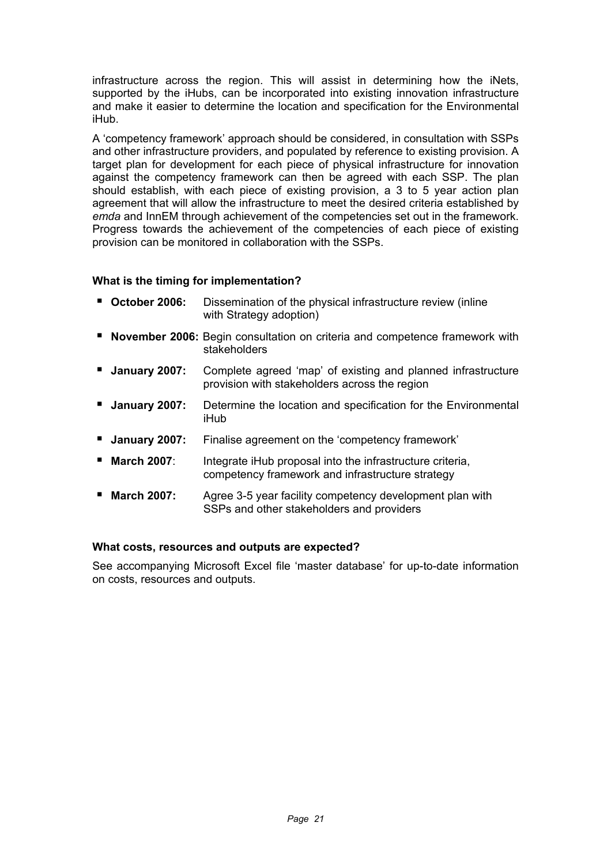infrastructure across the region. This will assist in determining how the iNets, supported by the iHubs, can be incorporated into existing innovation infrastructure and make it easier to determine the location and specification for the Environmental iHub.

A 'competency framework' approach should be considered, in consultation with SSPs and other infrastructure providers, and populated by reference to existing provision. A target plan for development for each piece of physical infrastructure for innovation against the competency framework can then be agreed with each SSP. The plan should establish, with each piece of existing provision, a 3 to 5 year action plan agreement that will allow the infrastructure to meet the desired criteria established by *emda* and InnEM through achievement of the competencies set out in the framework. Progress towards the achievement of the competencies of each piece of existing provision can be monitored in collaboration with the SSPs.

## **What is the timing for implementation?**

- **October 2006:** Dissemination of the physical infrastructure review (inline with Strategy adoption)
- **November 2006:** Begin consultation on criteria and competence framework with stakeholders
- **January 2007:** Complete agreed 'map' of existing and planned infrastructure provision with stakeholders across the region
- **January 2007:** Determine the location and specification for the Environmental iHub
- **January 2007:** Finalise agreement on the 'competency framework'
- **March 2007**: Integrate iHub proposal into the infrastructure criteria, competency framework and infrastructure strategy
- **March 2007:** Agree 3-5 year facility competency development plan with SSPs and other stakeholders and providers

#### **What costs, resources and outputs are expected?**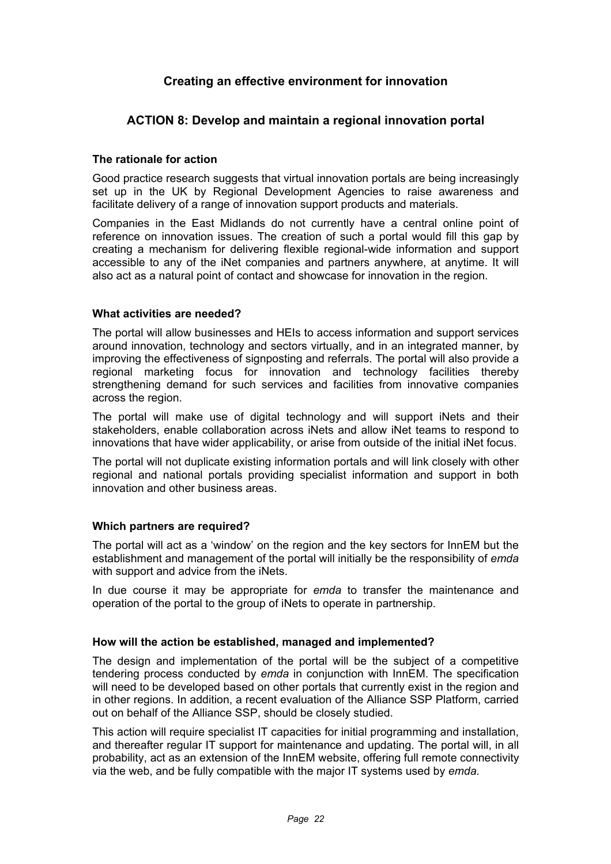## **Creating an effective environment for innovation**

## **ACTION 8: Develop and maintain a regional innovation portal**

#### **The rationale for action**

Good practice research suggests that virtual innovation portals are being increasingly set up in the UK by Regional Development Agencies to raise awareness and facilitate delivery of a range of innovation support products and materials.

Companies in the East Midlands do not currently have a central online point of reference on innovation issues. The creation of such a portal would fill this gap by creating a mechanism for delivering flexible regional-wide information and support accessible to any of the iNet companies and partners anywhere, at anytime. It will also act as a natural point of contact and showcase for innovation in the region.

#### **What activities are needed?**

The portal will allow businesses and HEIs to access information and support services around innovation, technology and sectors virtually, and in an integrated manner, by improving the effectiveness of signposting and referrals. The portal will also provide a regional marketing focus for innovation and technology facilities thereby strengthening demand for such services and facilities from innovative companies across the region.

The portal will make use of digital technology and will support iNets and their stakeholders, enable collaboration across iNets and allow iNet teams to respond to innovations that have wider applicability, or arise from outside of the initial iNet focus.

The portal will not duplicate existing information portals and will link closely with other regional and national portals providing specialist information and support in both innovation and other business areas.

#### **Which partners are required?**

The portal will act as a 'window' on the region and the key sectors for InnEM but the establishment and management of the portal will initially be the responsibility of *emda*  with support and advice from the iNets.

In due course it may be appropriate for *emda* to transfer the maintenance and operation of the portal to the group of iNets to operate in partnership.

#### **How will the action be established, managed and implemented?**

The design and implementation of the portal will be the subject of a competitive tendering process conducted by *emda* in conjunction with InnEM. The specification will need to be developed based on other portals that currently exist in the region and in other regions. In addition, a recent evaluation of the Alliance SSP Platform, carried out on behalf of the Alliance SSP, should be closely studied.

This action will require specialist IT capacities for initial programming and installation, and thereafter regular IT support for maintenance and updating. The portal will, in all probability, act as an extension of the InnEM website, offering full remote connectivity via the web, and be fully compatible with the major IT systems used by *emda.*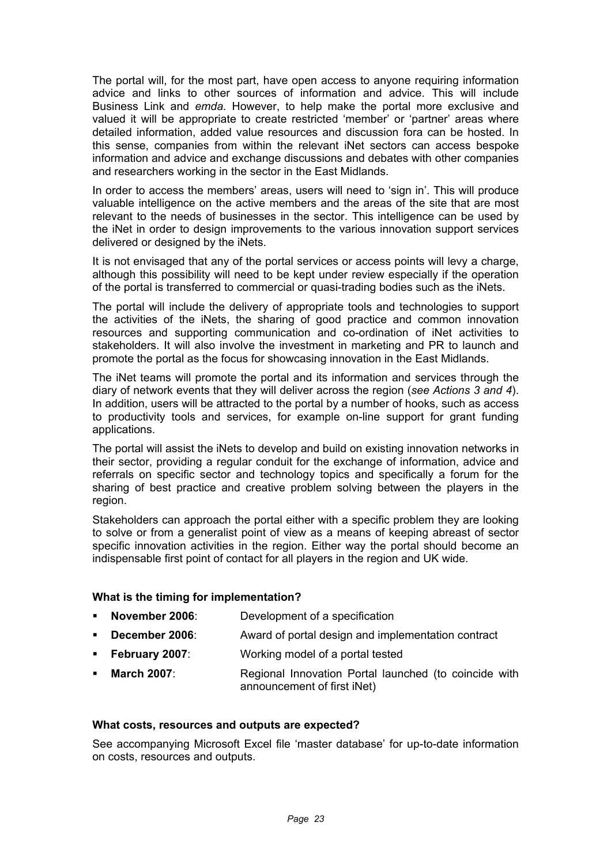The portal will, for the most part, have open access to anyone requiring information advice and links to other sources of information and advice. This will include Business Link and *emda.* However, to help make the portal more exclusive and valued it will be appropriate to create restricted 'member' or 'partner' areas where detailed information, added value resources and discussion fora can be hosted. In this sense, companies from within the relevant iNet sectors can access bespoke information and advice and exchange discussions and debates with other companies and researchers working in the sector in the East Midlands.

In order to access the members' areas, users will need to 'sign in'. This will produce valuable intelligence on the active members and the areas of the site that are most relevant to the needs of businesses in the sector. This intelligence can be used by the iNet in order to design improvements to the various innovation support services delivered or designed by the iNets.

It is not envisaged that any of the portal services or access points will levy a charge, although this possibility will need to be kept under review especially if the operation of the portal is transferred to commercial or quasi-trading bodies such as the iNets.

The portal will include the delivery of appropriate tools and technologies to support the activities of the iNets, the sharing of good practice and common innovation resources and supporting communication and co-ordination of iNet activities to stakeholders. It will also involve the investment in marketing and PR to launch and promote the portal as the focus for showcasing innovation in the East Midlands.

The iNet teams will promote the portal and its information and services through the diary of network events that they will deliver across the region (*see Actions 3 and 4*). In addition, users will be attracted to the portal by a number of hooks, such as access to productivity tools and services, for example on-line support for grant funding applications.

The portal will assist the iNets to develop and build on existing innovation networks in their sector, providing a regular conduit for the exchange of information, advice and referrals on specific sector and technology topics and specifically a forum for the sharing of best practice and creative problem solving between the players in the region.

Stakeholders can approach the portal either with a specific problem they are looking to solve or from a generalist point of view as a means of keeping abreast of sector specific innovation activities in the region. Either way the portal should become an indispensable first point of contact for all players in the region and UK wide.

#### **What is the timing for implementation?**

- **November 2006**: Development of a specification
- **December 2006:** Award of portal design and implementation contract
- **February 2007:** Working model of a portal tested
- **March 2007:** Regional Innovation Portal launched (to coincide with announcement of first iNet)

#### **What costs, resources and outputs are expected?**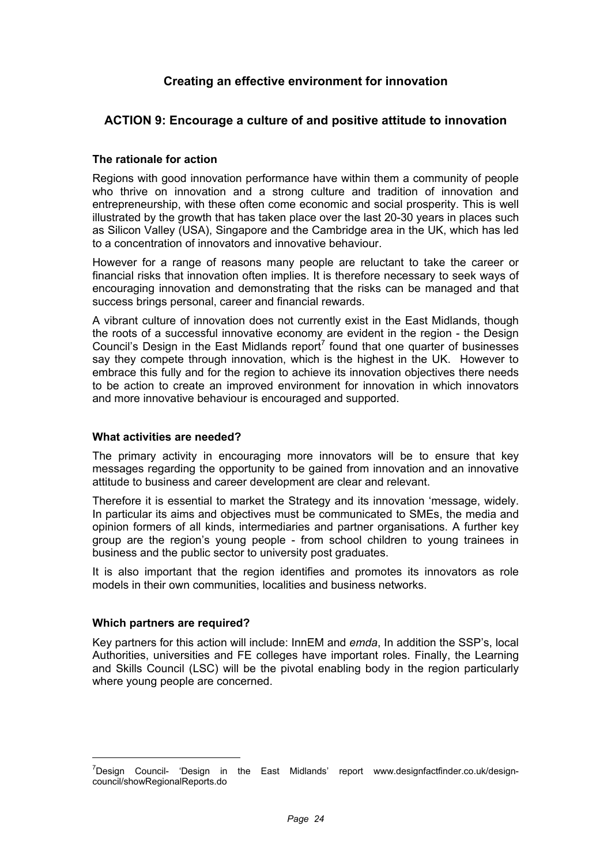## **Creating an effective environment for innovation**

## **ACTION 9: Encourage a culture of and positive attitude to innovation**

#### **The rationale for action**

Regions with good innovation performance have within them a community of people who thrive on innovation and a strong culture and tradition of innovation and entrepreneurship, with these often come economic and social prosperity. This is well illustrated by the growth that has taken place over the last 20-30 years in places such as Silicon Valley (USA), Singapore and the Cambridge area in the UK, which has led to a concentration of innovators and innovative behaviour.

However for a range of reasons many people are reluctant to take the career or financial risks that innovation often implies. It is therefore necessary to seek ways of encouraging innovation and demonstrating that the risks can be managed and that success brings personal, career and financial rewards.

A vibrant culture of innovation does not currently exist in the East Midlands, though the roots of a successful innovative economy are evident in the region - the Design Council's Design in the East Midlands report<sup>7</sup> found that one quarter of businesses say they compete through innovation, which is the highest in the UK. However to embrace this fully and for the region to achieve its innovation objectives there needs to be action to create an improved environment for innovation in which innovators and more innovative behaviour is encouraged and supported.

#### **What activities are needed?**

The primary activity in encouraging more innovators will be to ensure that key messages regarding the opportunity to be gained from innovation and an innovative attitude to business and career development are clear and relevant.

Therefore it is essential to market the Strategy and its innovation 'message, widely. In particular its aims and objectives must be communicated to SMEs, the media and opinion formers of all kinds, intermediaries and partner organisations. A further key group are the region's young people - from school children to young trainees in business and the public sector to university post graduates.

It is also important that the region identifies and promotes its innovators as role models in their own communities, localities and business networks.

#### **Which partners are required?**

Key partners for this action will include: InnEM and *emda*, In addition the SSP's, local Authorities, universities and FE colleges have important roles. Finally, the Learning and Skills Council (LSC) will be the pivotal enabling body in the region particularly where young people are concerned.

<sup>&</sup>lt;sup>7</sup>Design Council- 'Design in the East Midlands' report www.designfactfinder.co.uk/designcouncil/showRegionalReports.do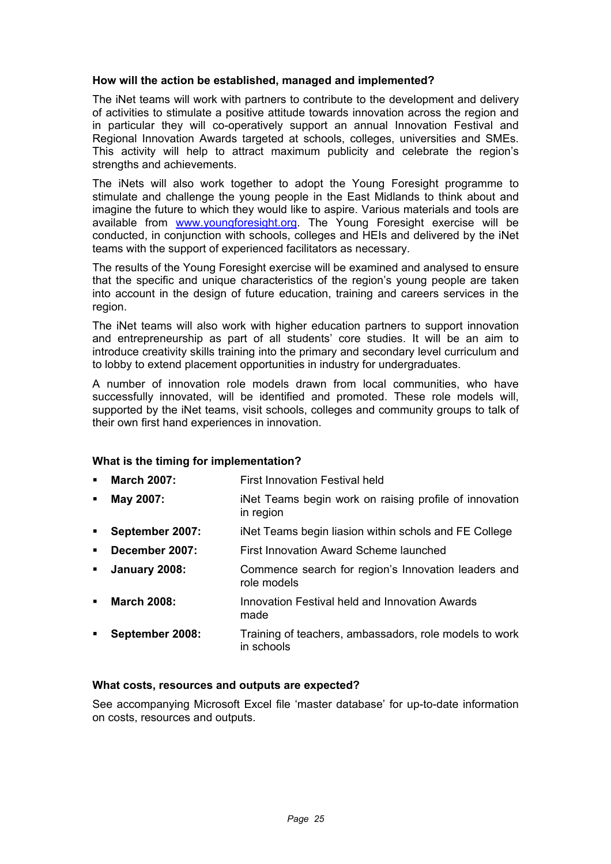#### **How will the action be established, managed and implemented?**

The iNet teams will work with partners to contribute to the development and delivery of activities to stimulate a positive attitude towards innovation across the region and in particular they will co-operatively support an annual Innovation Festival and Regional Innovation Awards targeted at schools, colleges, universities and SMEs. This activity will help to attract maximum publicity and celebrate the region's strengths and achievements.

The iNets will also work together to adopt the Young Foresight programme to stimulate and challenge the young people in the East Midlands to think about and imagine the future to which they would like to aspire. Various materials and tools are available from www.youngforesight.org. The Young Foresight exercise will be conducted, in conjunction with schools, colleges and HEIs and delivered by the iNet teams with the support of experienced facilitators as necessary.

The results of the Young Foresight exercise will be examined and analysed to ensure that the specific and unique characteristics of the region's young people are taken into account in the design of future education, training and careers services in the region.

The iNet teams will also work with higher education partners to support innovation and entrepreneurship as part of all students' core studies. It will be an aim to introduce creativity skills training into the primary and secondary level curriculum and to lobby to extend placement opportunities in industry for undergraduates.

A number of innovation role models drawn from local communities, who have successfully innovated, will be identified and promoted. These role models will, supported by the iNet teams, visit schools, colleges and community groups to talk of their own first hand experiences in innovation.

#### **What is the timing for implementation?**

- **March 2007:** First Innovation Festival held
- **May 2007: iNet Teams begin work on raising profile of innovation** in region
- **September 2007:** iNet Teams begin liasion within schols and FE College
- **December 2007:** First Innovation Award Scheme launched
- **January 2008:** Commence search for region's Innovation leaders and role models
- **March 2008:** Innovation Festival held and Innovation Awards made
- **September 2008:** Training of teachers, ambassadors, role models to work in schools

#### **What costs, resources and outputs are expected?**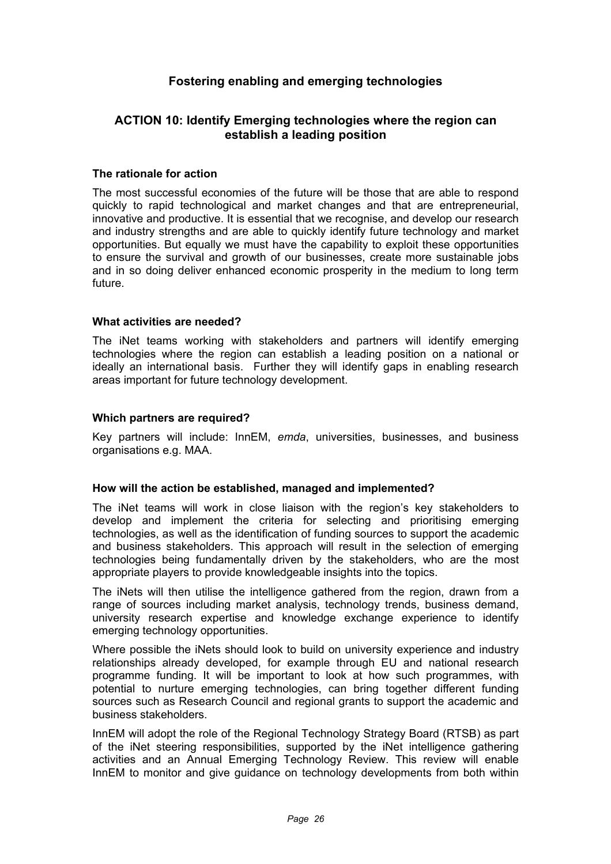## **Fostering enabling and emerging technologies**

## **ACTION 10: Identify Emerging technologies where the region can establish a leading position**

#### **The rationale for action**

The most successful economies of the future will be those that are able to respond quickly to rapid technological and market changes and that are entrepreneurial, innovative and productive. It is essential that we recognise, and develop our research and industry strengths and are able to quickly identify future technology and market opportunities. But equally we must have the capability to exploit these opportunities to ensure the survival and growth of our businesses, create more sustainable jobs and in so doing deliver enhanced economic prosperity in the medium to long term future.

#### **What activities are needed?**

The iNet teams working with stakeholders and partners will identify emerging technologies where the region can establish a leading position on a national or ideally an international basis. Further they will identify gaps in enabling research areas important for future technology development.

#### **Which partners are required?**

Key partners will include: InnEM, *emda*, universities, businesses, and business organisations e.g. MAA.

#### **How will the action be established, managed and implemented?**

The iNet teams will work in close liaison with the region's key stakeholders to develop and implement the criteria for selecting and prioritising emerging technologies, as well as the identification of funding sources to support the academic and business stakeholders. This approach will result in the selection of emerging technologies being fundamentally driven by the stakeholders, who are the most appropriate players to provide knowledgeable insights into the topics.

The iNets will then utilise the intelligence gathered from the region, drawn from a range of sources including market analysis, technology trends, business demand, university research expertise and knowledge exchange experience to identify emerging technology opportunities.

Where possible the iNets should look to build on university experience and industry relationships already developed, for example through EU and national research programme funding. It will be important to look at how such programmes, with potential to nurture emerging technologies, can bring together different funding sources such as Research Council and regional grants to support the academic and business stakeholders.

InnEM will adopt the role of the Regional Technology Strategy Board (RTSB) as part of the iNet steering responsibilities, supported by the iNet intelligence gathering activities and an Annual Emerging Technology Review. This review will enable InnEM to monitor and give guidance on technology developments from both within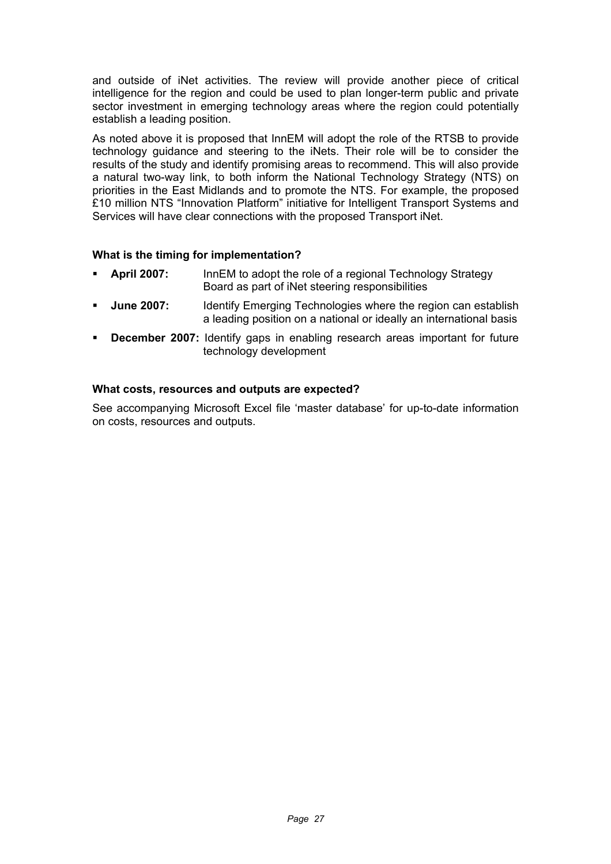and outside of iNet activities. The review will provide another piece of critical intelligence for the region and could be used to plan longer-term public and private sector investment in emerging technology areas where the region could potentially establish a leading position.

As noted above it is proposed that InnEM will adopt the role of the RTSB to provide technology guidance and steering to the iNets. Their role will be to consider the results of the study and identify promising areas to recommend. This will also provide a natural two-way link, to both inform the National Technology Strategy (NTS) on priorities in the East Midlands and to promote the NTS. For example, the proposed £10 million NTS "Innovation Platform" initiative for Intelligent Transport Systems and Services will have clear connections with the proposed Transport iNet.

## **What is the timing for implementation?**

- **April 2007:** InnEM to adopt the role of a regional Technology Strategy Board as part of iNet steering responsibilities
- **June 2007:** Identify Emerging Technologies where the region can establish a leading position on a national or ideally an international basis
- **December 2007:** Identify gaps in enabling research areas important for future technology development

#### **What costs, resources and outputs are expected?**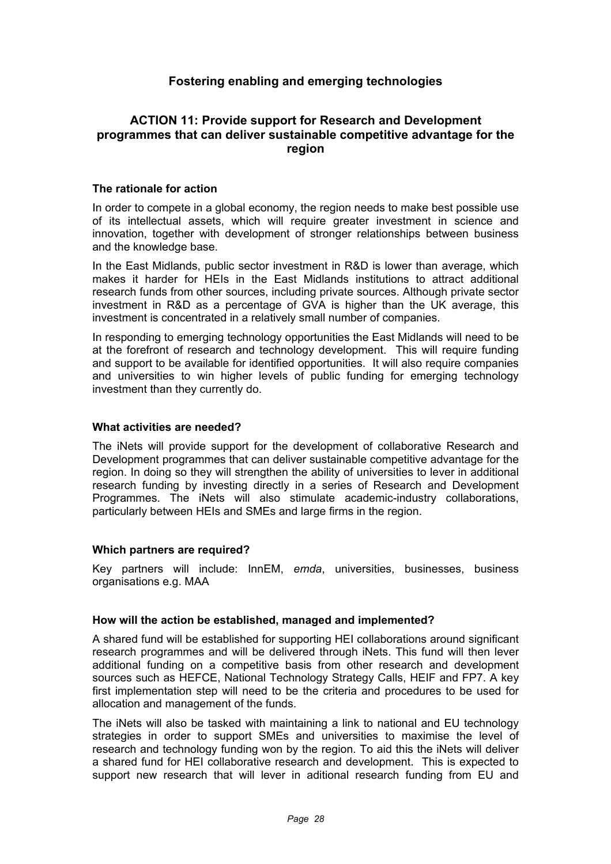## **Fostering enabling and emerging technologies**

## **ACTION 11: Provide support for Research and Development programmes that can deliver sustainable competitive advantage for the region**

#### **The rationale for action**

In order to compete in a global economy, the region needs to make best possible use of its intellectual assets, which will require greater investment in science and innovation, together with development of stronger relationships between business and the knowledge base.

In the East Midlands, public sector investment in R&D is lower than average, which makes it harder for HEIs in the East Midlands institutions to attract additional research funds from other sources, including private sources. Although private sector investment in R&D as a percentage of GVA is higher than the UK average, this investment is concentrated in a relatively small number of companies.

In responding to emerging technology opportunities the East Midlands will need to be at the forefront of research and technology development. This will require funding and support to be available for identified opportunities. It will also require companies and universities to win higher levels of public funding for emerging technology investment than they currently do.

#### **What activities are needed?**

The iNets will provide support for the development of collaborative Research and Development programmes that can deliver sustainable competitive advantage for the region. In doing so they will strengthen the ability of universities to lever in additional research funding by investing directly in a series of Research and Development Programmes. The iNets will also stimulate academic-industry collaborations, particularly between HEIs and SMEs and large firms in the region.

#### **Which partners are required?**

Key partners will include: InnEM, *emda*, universities, businesses, business organisations e.g. MAA

#### **How will the action be established, managed and implemented?**

A shared fund will be established for supporting HEI collaborations around significant research programmes and will be delivered through iNets. This fund will then lever additional funding on a competitive basis from other research and development sources such as HEFCE, National Technology Strategy Calls, HEIF and FP7. A key first implementation step will need to be the criteria and procedures to be used for allocation and management of the funds.

The iNets will also be tasked with maintaining a link to national and EU technology strategies in order to support SMEs and universities to maximise the level of research and technology funding won by the region. To aid this the iNets will deliver a shared fund for HEI collaborative research and development. This is expected to support new research that will lever in aditional research funding from EU and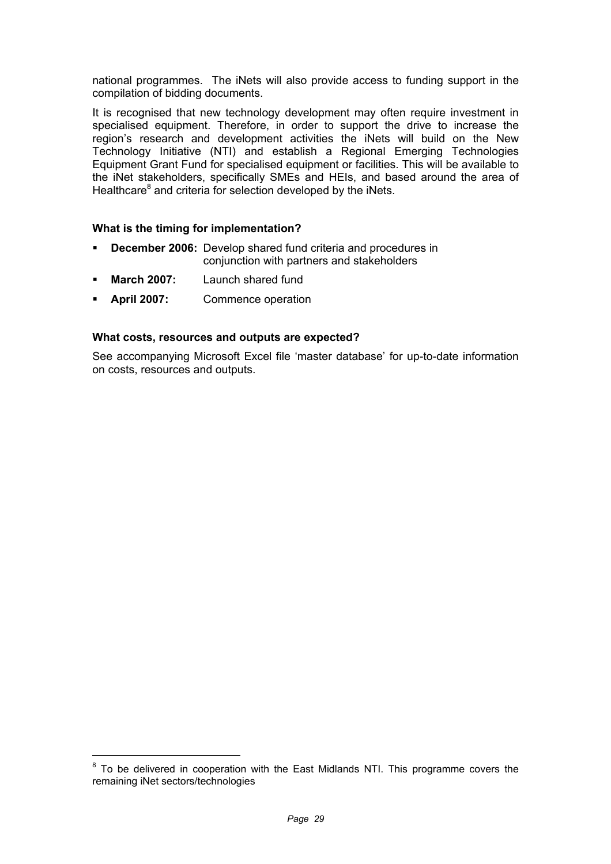national programmes. The iNets will also provide access to funding support in the compilation of bidding documents.

It is recognised that new technology development may often require investment in specialised equipment. Therefore, in order to support the drive to increase the region's research and development activities the iNets will build on the New Technology Initiative (NTI) and establish a Regional Emerging Technologies Equipment Grant Fund for specialised equipment or facilities. This will be available to the iNet stakeholders, specifically SMEs and HEIs, and based around the area of Healthcare<sup>8</sup> and criteria for selection developed by the iNets.

#### **What is the timing for implementation?**

- **December 2006:** Develop shared fund criteria and procedures in conjunction with partners and stakeholders
- **March 2007:** Launch shared fund

-

**April 2007:** Commence operation

#### **What costs, resources and outputs are expected?**

 $8$  To be delivered in cooperation with the East Midlands NTI. This programme covers the remaining iNet sectors/technologies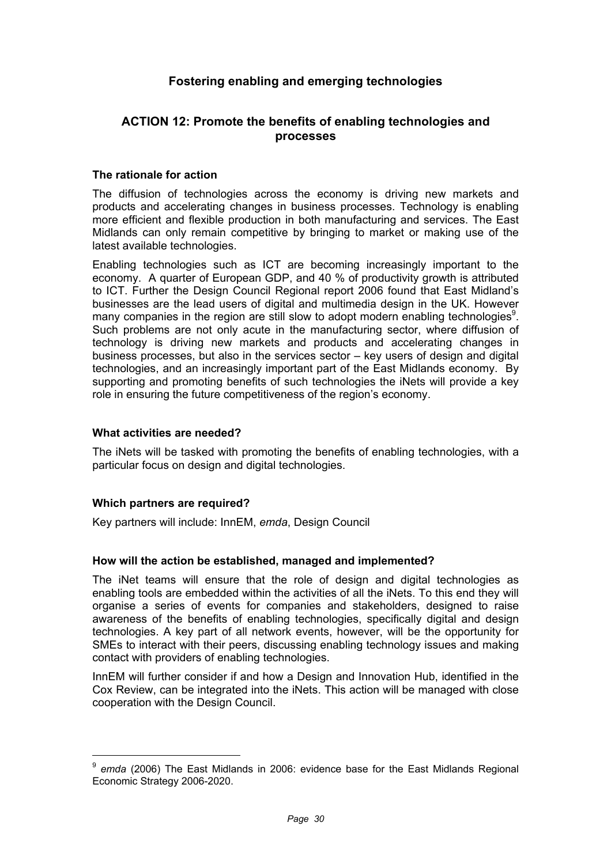## **Fostering enabling and emerging technologies**

## **ACTION 12: Promote the benefits of enabling technologies and processes**

#### **The rationale for action**

The diffusion of technologies across the economy is driving new markets and products and accelerating changes in business processes. Technology is enabling more efficient and flexible production in both manufacturing and services. The East Midlands can only remain competitive by bringing to market or making use of the latest available technologies.

Enabling technologies such as ICT are becoming increasingly important to the economy. A quarter of European GDP, and 40 % of productivity growth is attributed to ICT. Further the Design Council Regional report 2006 found that East Midland's businesses are the lead users of digital and multimedia design in the UK. However many companies in the region are still slow to adopt modern enabling technologies<sup>9</sup>. Such problems are not only acute in the manufacturing sector, where diffusion of technology is driving new markets and products and accelerating changes in business processes, but also in the services sector – key users of design and digital technologies, and an increasingly important part of the East Midlands economy. By supporting and promoting benefits of such technologies the iNets will provide a key role in ensuring the future competitiveness of the region's economy.

#### **What activities are needed?**

The iNets will be tasked with promoting the benefits of enabling technologies, with a particular focus on design and digital technologies.

#### **Which partners are required?**

Key partners will include: InnEM, *emda*, Design Council

#### **How will the action be established, managed and implemented?**

The iNet teams will ensure that the role of design and digital technologies as enabling tools are embedded within the activities of all the iNets. To this end they will organise a series of events for companies and stakeholders, designed to raise awareness of the benefits of enabling technologies, specifically digital and design technologies. A key part of all network events, however, will be the opportunity for SMEs to interact with their peers, discussing enabling technology issues and making contact with providers of enabling technologies.

InnEM will further consider if and how a Design and Innovation Hub, identified in the Cox Review, can be integrated into the iNets. This action will be managed with close cooperation with the Design Council.

<sup>9</sup> *emda* (2006) The East Midlands in 2006: evidence base for the East Midlands Regional Economic Strategy 2006-2020.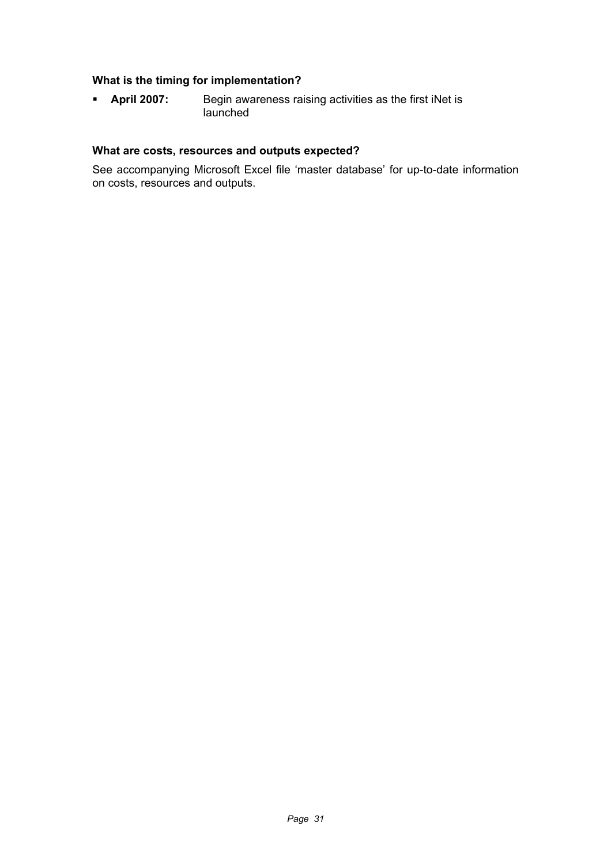## **What is the timing for implementation?**

 **April 2007:** Begin awareness raising activities as the first iNet is launched

#### **What are costs, resources and outputs expected?**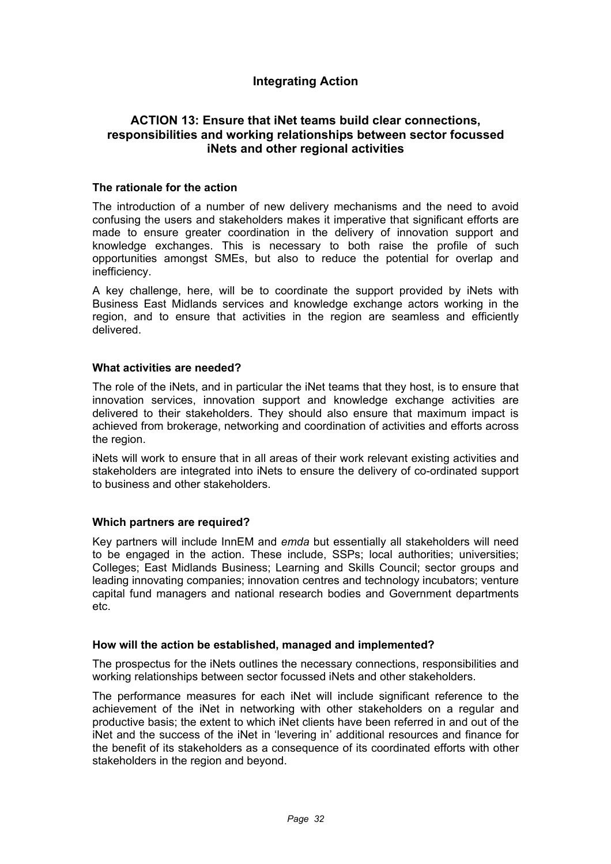## **Integrating Action**

## **ACTION 13: Ensure that iNet teams build clear connections, responsibilities and working relationships between sector focussed iNets and other regional activities**

#### **The rationale for the action**

The introduction of a number of new delivery mechanisms and the need to avoid confusing the users and stakeholders makes it imperative that significant efforts are made to ensure greater coordination in the delivery of innovation support and knowledge exchanges. This is necessary to both raise the profile of such opportunities amongst SMEs, but also to reduce the potential for overlap and inefficiency.

A key challenge, here, will be to coordinate the support provided by iNets with Business East Midlands services and knowledge exchange actors working in the region, and to ensure that activities in the region are seamless and efficiently delivered.

#### **What activities are needed?**

The role of the iNets, and in particular the iNet teams that they host, is to ensure that innovation services, innovation support and knowledge exchange activities are delivered to their stakeholders. They should also ensure that maximum impact is achieved from brokerage, networking and coordination of activities and efforts across the region.

iNets will work to ensure that in all areas of their work relevant existing activities and stakeholders are integrated into iNets to ensure the delivery of co-ordinated support to business and other stakeholders.

#### **Which partners are required?**

Key partners will include InnEM and *emda* but essentially all stakeholders will need to be engaged in the action. These include, SSPs; local authorities; universities; Colleges; East Midlands Business; Learning and Skills Council; sector groups and leading innovating companies; innovation centres and technology incubators; venture capital fund managers and national research bodies and Government departments etc.

#### **How will the action be established, managed and implemented?**

The prospectus for the iNets outlines the necessary connections, responsibilities and working relationships between sector focussed iNets and other stakeholders.

The performance measures for each iNet will include significant reference to the achievement of the iNet in networking with other stakeholders on a regular and productive basis; the extent to which iNet clients have been referred in and out of the iNet and the success of the iNet in 'levering in' additional resources and finance for the benefit of its stakeholders as a consequence of its coordinated efforts with other stakeholders in the region and beyond.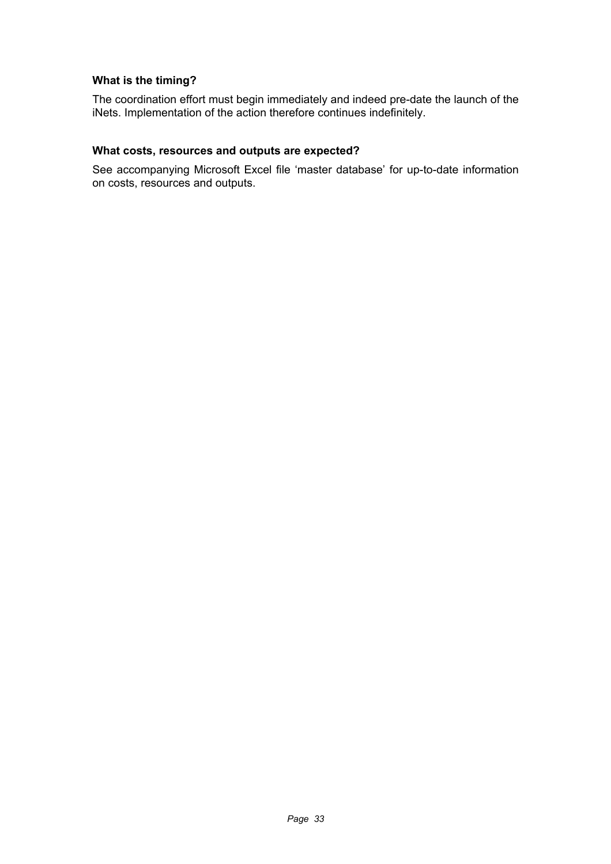## **What is the timing?**

The coordination effort must begin immediately and indeed pre-date the launch of the iNets. Implementation of the action therefore continues indefinitely.

#### **What costs, resources and outputs are expected?**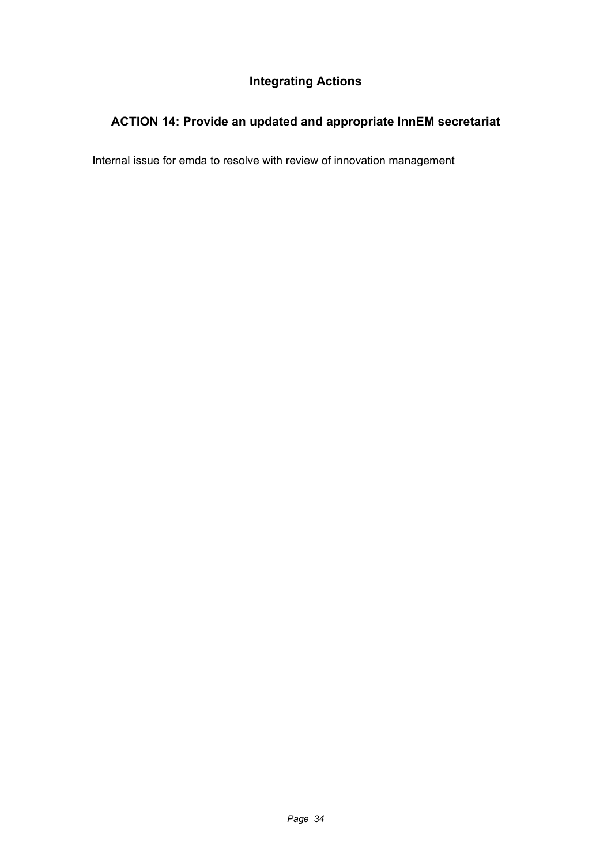## **Integrating Actions**

# **ACTION 14: Provide an updated and appropriate InnEM secretariat**

Internal issue for emda to resolve with review of innovation management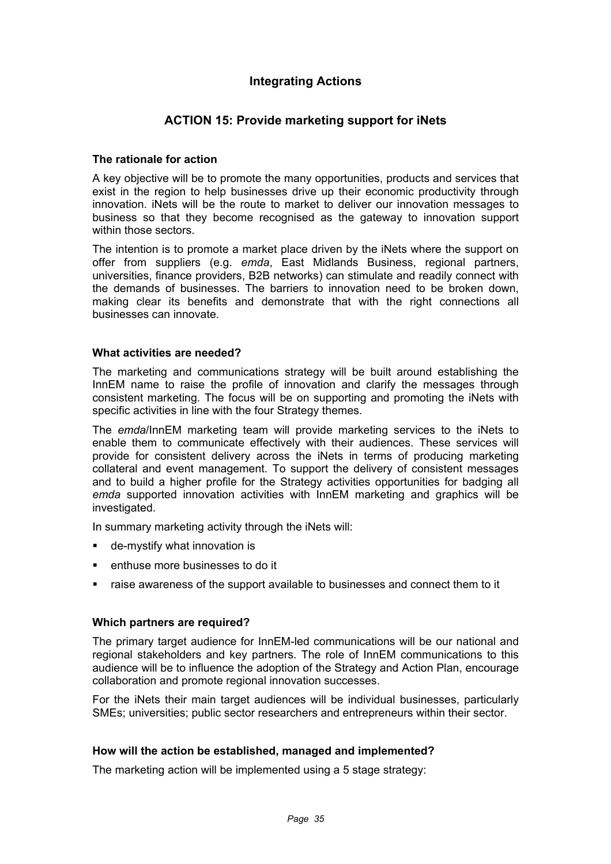## **Integrating Actions**

## **ACTION 15: Provide marketing support for iNets**

#### **The rationale for action**

A key objective will be to promote the many opportunities, products and services that exist in the region to help businesses drive up their economic productivity through innovation. iNets will be the route to market to deliver our innovation messages to business so that they become recognised as the gateway to innovation support within those sectors.

The intention is to promote a market place driven by the iNets where the support on offer from suppliers (e.g. *emda*, East Midlands Business, regional partners, universities, finance providers, B2B networks) can stimulate and readily connect with the demands of businesses. The barriers to innovation need to be broken down, making clear its benefits and demonstrate that with the right connections all businesses can innovate.

#### **What activities are needed?**

The marketing and communications strategy will be built around establishing the InnEM name to raise the profile of innovation and clarify the messages through consistent marketing. The focus will be on supporting and promoting the iNets with specific activities in line with the four Strategy themes.

The *emda*/InnEM marketing team will provide marketing services to the iNets to enable them to communicate effectively with their audiences. These services will provide for consistent delivery across the iNets in terms of producing marketing collateral and event management. To support the delivery of consistent messages and to build a higher profile for the Strategy activities opportunities for badging all *emda* supported innovation activities with InnEM marketing and graphics will be investigated.

In summary marketing activity through the iNets will:

- de-mystify what innovation is
- **EXECUTE:** enthuse more businesses to do it
- raise awareness of the support available to businesses and connect them to it

#### **Which partners are required?**

The primary target audience for InnEM-led communications will be our national and regional stakeholders and key partners. The role of InnEM communications to this audience will be to influence the adoption of the Strategy and Action Plan, encourage collaboration and promote regional innovation successes.

For the iNets their main target audiences will be individual businesses, particularly SMEs; universities; public sector researchers and entrepreneurs within their sector.

#### **How will the action be established, managed and implemented?**

The marketing action will be implemented using a 5 stage strategy: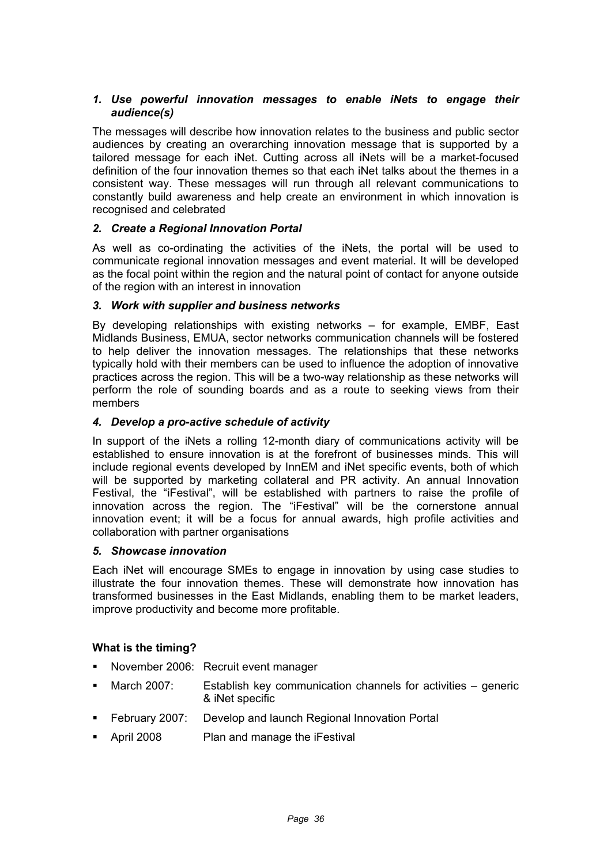#### *1. Use powerful innovation messages to enable iNets to engage their audience(s)*

The messages will describe how innovation relates to the business and public sector audiences by creating an overarching innovation message that is supported by a tailored message for each iNet. Cutting across all iNets will be a market-focused definition of the four innovation themes so that each iNet talks about the themes in a consistent way. These messages will run through all relevant communications to constantly build awareness and help create an environment in which innovation is recognised and celebrated

## *2. Create a Regional Innovation Portal*

As well as co-ordinating the activities of the iNets, the portal will be used to communicate regional innovation messages and event material. It will be developed as the focal point within the region and the natural point of contact for anyone outside of the region with an interest in innovation

#### *3. Work with supplier and business networks*

By developing relationships with existing networks – for example, EMBF, East Midlands Business, EMUA, sector networks communication channels will be fostered to help deliver the innovation messages. The relationships that these networks typically hold with their members can be used to influence the adoption of innovative practices across the region. This will be a two-way relationship as these networks will perform the role of sounding boards and as a route to seeking views from their members

#### *4. Develop a pro-active schedule of activity*

In support of the iNets a rolling 12-month diary of communications activity will be established to ensure innovation is at the forefront of businesses minds. This will include regional events developed by InnEM and iNet specific events, both of which will be supported by marketing collateral and PR activity. An annual Innovation Festival, the "iFestival", will be established with partners to raise the profile of innovation across the region. The "iFestival" will be the cornerstone annual innovation event; it will be a focus for annual awards, high profile activities and collaboration with partner organisations

#### *5. Showcase innovation*

Each iNet will encourage SMEs to engage in innovation by using case studies to illustrate the four innovation themes. These will demonstrate how innovation has transformed businesses in the East Midlands, enabling them to be market leaders, improve productivity and become more profitable.

#### **What is the timing?**

- November 2006: Recruit event manager
- March 2007: Establish key communication channels for activities generic & iNet specific
- February 2007: Develop and launch Regional Innovation Portal
- April 2008 Plan and manage the iFestival